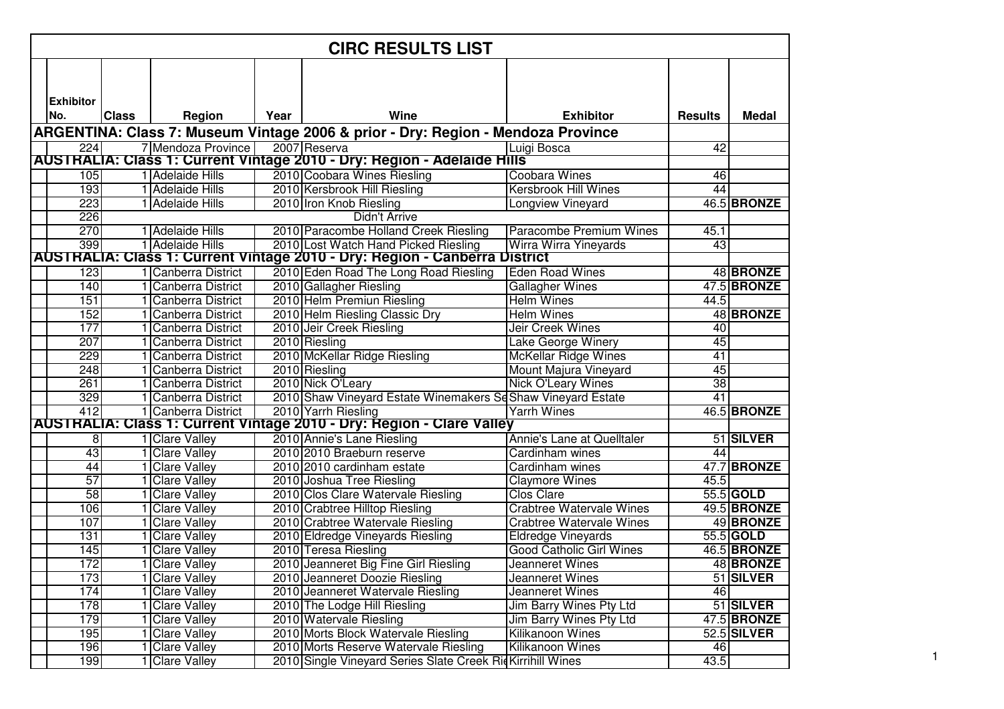|                  |              |                                            |      | <b>CIRC RESULTS LIST</b>                                                         |                                                     |                 |                    |
|------------------|--------------|--------------------------------------------|------|----------------------------------------------------------------------------------|-----------------------------------------------------|-----------------|--------------------|
|                  |              |                                            |      |                                                                                  |                                                     |                 |                    |
|                  |              |                                            |      |                                                                                  |                                                     |                 |                    |
| <b>Exhibitor</b> |              |                                            |      |                                                                                  |                                                     |                 |                    |
| No.              | <b>Class</b> | Region                                     | Year | Wine                                                                             | <b>Exhibitor</b>                                    | <b>Results</b>  | <b>Medal</b>       |
|                  |              |                                            |      | ARGENTINA: Class 7: Museum Vintage 2006 & prior - Dry: Region - Mendoza Province |                                                     |                 |                    |
| 224              |              | 7 Mendoza Province                         |      | 2007 Reserva                                                                     | Luigi Bosca                                         | $\overline{42}$ |                    |
|                  |              |                                            |      | AUSTRALIA: Class 1: Current Vintage 2010 - Dry: Region - Adelaide Hills          |                                                     |                 |                    |
| 105              |              | 1 Adelaide Hills                           |      | 2010 Coobara Wines Riesling                                                      | <b>Coobara Wines</b><br><b>Kersbrook Hill Wines</b> | 46<br>44        |                    |
| 193<br>223       |              | 1 Adelaide Hills<br>1 Adelaide Hills       |      | 2010 Kersbrook Hill Riesling                                                     |                                                     |                 | 46.5 BRONZE        |
| 226              |              |                                            |      | 2010 Iron Knob Riesling<br><b>Didn't Arrive</b>                                  | <b>Longview Vineyard</b>                            |                 |                    |
| 270              |              | 1 Adelaide Hills                           |      | 2010 Paracombe Holland Creek Riesling                                            | Paracombe Premium Wines                             | 45.1            |                    |
| 399              |              | 1 Adelaide Hills                           |      | 2010 Lost Watch Hand Picked Riesling                                             | Wirra Wirra Yineyards                               | 43              |                    |
|                  |              |                                            |      | AUSTRALIA: Class 1: Current Vintage 2010 - Dry: Region - Canberra District       |                                                     |                 |                    |
| 123              |              | 1 Canberra District                        |      | 2010 Eden Road The Long Road Riesling                                            | <b>Eden Road Wines</b>                              |                 | 48 BRONZE          |
| 140              |              | 1 Canberra District                        |      | 2010 Gallagher Riesling                                                          | <b>Gallagher Wines</b>                              |                 | 47.5 BRONZE        |
| 151              |              | Canberra District                          |      | 2010 Helm Premiun Riesling                                                       | <b>Helm Wines</b>                                   | 44.5            |                    |
| 152              |              | <b>Canberra District</b>                   |      | 2010 Helm Riesling Classic Dry                                                   | <b>Helm Wines</b>                                   |                 | 48 BRONZE          |
| 177              |              | Canberra District                          |      | 2010 Jeir Creek Riesling                                                         | <b>Jeir Creek Wines</b>                             | 40              |                    |
| 207              |              | <b>Canberra District</b>                   |      | 2010 Riesling                                                                    | Lake George Winery                                  | 45              |                    |
| 229              |              | <b>Canberra District</b>                   |      | 2010 McKellar Ridge Riesling                                                     | <b>McKellar Ridge Wines</b>                         | 41              |                    |
| 248              |              | Canberra District                          |      | 2010 Riesling                                                                    | Mount Majura Vineyard                               | 45              |                    |
| 261              |              | 1 Canberra District                        |      | 2010 Nick O'Leary                                                                | <b>Nick O'Leary Wines</b>                           | $\overline{38}$ |                    |
| 329              |              | 1 Canberra District                        |      | 2010 Shaw Vineyard Estate Winemakers Sd Shaw Vineyard Estate                     |                                                     | 41              |                    |
| 412              |              | 1 Canberra District                        |      | 2010 Yarrh Riesling                                                              | <b>Yarrh Wines</b>                                  |                 | <b>46.5 BRONZE</b> |
|                  |              |                                            |      | AUSTRALIA: Class 1: Current Vintage 2010 - Dry: Region - Clare Valley            |                                                     |                 |                    |
| 8                |              | 1 Clare Valley                             |      | 2010 Annie's Lane Riesling                                                       | Annie's Lane at Quelltaler                          |                 | 51 SILVER          |
| 43               |              | <b>Clare Valley</b>                        |      | 2010 2010 Braeburn reserve                                                       | Cardinham wines                                     | 44              |                    |
| 44               |              | <b>Clare Valley</b>                        |      | 2010 2010 cardinham estate                                                       | Cardinham wines                                     |                 | 47.7 BRONZE        |
| 57               |              | 1 Clare Valley                             |      | 2010 Joshua Tree Riesling                                                        | <b>Claymore Wines</b>                               | 45.5            |                    |
| 58               |              | 1 Clare Valley                             |      | 2010 Clos Clare Watervale Riesling                                               | <b>Clos Clare</b>                                   |                 | 55.5 GOLD          |
| 106              |              | <b>Clare Valley</b>                        |      | 2010 Crabtree Hilltop Riesling                                                   | <b>Crabtree Watervale Wines</b>                     |                 | 49.5 BRONZE        |
| 107              |              | <b>Clare Valley</b>                        |      | 2010 Crabtree Watervale Riesling                                                 | <b>Crabtree Watervale Wines</b>                     |                 | 49 BRONZE          |
| 131              |              | <b>Clare Valley</b>                        |      | 2010 Eldredge Vineyards Riesling                                                 | <b>Eldredge Vineyards</b>                           |                 | 55.5 GOLD          |
| 145              |              | <b>Clare Valley</b>                        |      | 2010 Teresa Riesling                                                             | <b>Good Catholic Girl Wines</b>                     |                 | 46.5 BRONZE        |
| 172              |              | 1 Clare Valley                             |      | 2010 Jeanneret Big Fine Girl Riesling                                            | Jeanneret Wines                                     |                 | 48 BRONZE          |
| 173              |              | <b>Clare Valley</b>                        |      | 2010 Jeanneret Doozie Riesling                                                   | Jeanneret Wines                                     |                 | 51 SILVER          |
| 174              |              | <b>Clare Valley</b>                        |      | 2010 Jeanneret Watervale Riesling                                                | Jeanneret Wines                                     | 46              |                    |
| 178              |              | <b>Clare Valley</b>                        |      | 2010 The Lodge Hill Riesling                                                     | Jim Barry Wines Pty Ltd                             |                 | 51 SILVER          |
| 179              |              | <b>Clare Valley</b>                        |      | 2010 Watervale Riesling                                                          | Jim Barry Wines Pty Ltd                             |                 | 47.5 BRONZE        |
| 195<br>196       |              | <b>Clare Valley</b><br><b>Clare Valley</b> |      | 2010 Morts Block Watervale Riesling<br>2010 Morts Reserve Watervale Riesling     | Kilikanoon Wines<br>Kilikanoon Wines                | 46              | 52.5 SILVER        |
| 199              |              | <b>Clare Valley</b>                        |      | 2010 Single Vineyard Series Slate Creek RidKirrihill Wines                       |                                                     | 43.5            |                    |
|                  |              |                                            |      |                                                                                  |                                                     |                 |                    |

1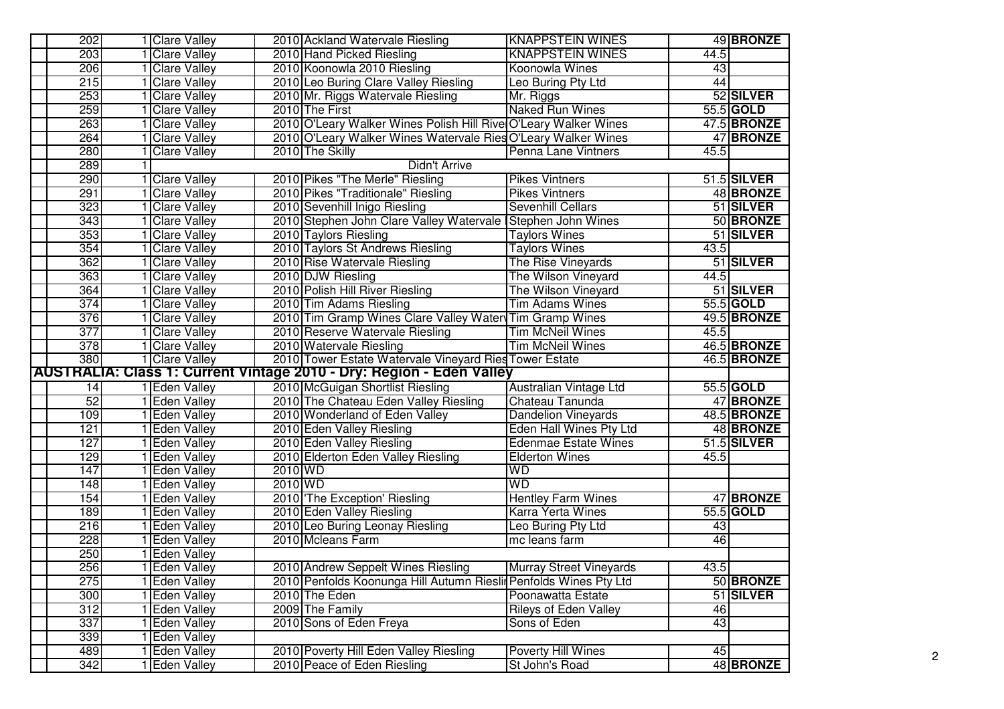| 202              | 1 Clare Valley                 | <b>KNAPPSTEIN WINES</b><br>2010 Ackland Watervale Riesling                                                           | 49 BRONZE          |
|------------------|--------------------------------|----------------------------------------------------------------------------------------------------------------------|--------------------|
| 203              | <b>Clare Valley</b>            | 2010 Hand Picked Riesling<br><b>KNAPPSTEIN WINES</b>                                                                 | 44.5               |
| 206              | <b>Clare Valley</b>            | 2010 Koonowla 2010 Riesling<br>Koonowla Wines                                                                        | 43                 |
| 215              | <b>Clare Valley</b>            | 2010 Leo Buring Clare Valley Riesling<br>Leo Buring Pty Ltd                                                          | 44                 |
| 253              | <b>Clare Valley</b>            | 2010 Mr. Riggs Watervale Riesling<br>Mr. Riggs                                                                       | 52 SILVER          |
| 259              | <b>Clare Valley</b>            | <b>Naked Run Wines</b><br>2010 The First                                                                             | 55.5 GOLD          |
| 263              | <b>Clare Valley</b>            | 2010 O'Leary Walker Wines Polish Hill Rive O'Leary Walker Wines                                                      | 47.5 BRONZE        |
| 264              | <b>Clare Valley</b>            | 2010 O'Leary Walker Wines Watervale Ries O'Leary Walker Wines                                                        | 47 BRONZE          |
| 280              | <b>Clare Valley</b>            | 2010 The Skilly<br>Penna Lane Vintners                                                                               | 45.5               |
| 289              |                                | <b>Didn't Arrive</b>                                                                                                 |                    |
| 290              | <b>Clare Valley</b>            | 2010 Pikes "The Merle" Riesling<br><b>Pikes Vintners</b>                                                             | 51.5 SILVER        |
| 291              | 1 Clare Valley                 | 2010 Pikes "Traditionale" Riesling<br><b>Pikes Vintners</b>                                                          | 48 BRONZE          |
| 323              | <b>Clare Valley</b>            | 2010 Sevenhill Inigo Riesling<br>Sevenhill Cellars                                                                   | 51 SILVER          |
| 343              | <b>Clare Valley</b>            | 2010 Stephen John Clare Valley Watervale Stephen John Wines                                                          | 50 BRONZE          |
| 353              | <b>Clare Valley</b>            | 2010 Taylors Riesling<br><b>Taylors Wines</b>                                                                        | 51 SILVER          |
| 354              | <b>Clare Valley</b>            | 2010 Taylors St Andrews Riesling<br><b>Taylors Wines</b>                                                             | 43.5               |
| 362              | <b>Clare Valley</b>            | The Rise Vineyards<br>2010 Rise Watervale Riesling                                                                   | 51 SILVER          |
| 363              | <b>Clare Valley</b>            | 2010 DJW Riesling<br>The Wilson Vineyard                                                                             | 44.5               |
| 364              | <b>Clare Valley</b>            | 2010 Polish Hill River Riesling<br>The Wilson Vineyard                                                               | 51 SILVER          |
| 374              | <b>Clare Valley</b>            | 2010 Tim Adams Riesling<br><b>Tim Adams Wines</b>                                                                    | 55.5 GOLD          |
| 376              | <b>Clare Valley</b>            | 2010 Tim Gramp Wines Clare Valley Water Tim Gramp Wines                                                              | 49.5 BRONZE        |
| 377              | <b>Clare Valley</b>            | <b>Tim McNeil Wines</b><br>2010 Reserve Watervale Riesling                                                           | 45.5               |
| $\overline{378}$ | <b>Clare Valley</b>            | 2010 Watervale Riesling<br><b>Tim McNeil Wines</b>                                                                   | 46.5 BRONZE        |
| 380              | 1 Clare Valley                 | 2010 Tower Estate Watervale Vineyard Ries Tower Estate                                                               | 46.5 BRONZE        |
|                  |                                | AUSTRALIA: Class 1: Current Vintage 2010 - Dry: Region - Eden Valley                                                 |                    |
| 14               | 1 Eden Valley                  | 2010 McGuigan Shortlist Riesling<br>Australian Vintage Ltd                                                           | 55.5 GOLD          |
| 52               | 1 Eden Valley                  | 2010 The Chateau Eden Valley Riesling<br>Chateau Tanunda                                                             | 47 BRONZE          |
| 109              | 1 Eden Valley                  | 2010 Wonderland of Eden Valley<br><b>Dandelion Vineyards</b>                                                         | <b>48.5 BRONZE</b> |
| 121              | 1 Eden Valley                  | 2010 Eden Valley Riesling<br>Eden Hall Wines Pty Ltd                                                                 | 48 BRONZE          |
| 127              | 1 Eden Valley                  | <b>Edenmae Estate Wines</b><br>2010 Eden Valley Riesling                                                             | 51.5 SILVER        |
| 129              | 1 Eden Valley                  | 2010 Elderton Eden Valley Riesling<br><b>Elderton Wines</b>                                                          | 45.5               |
| 147              | 1 Eden Valley                  | 2010 WD<br>WD                                                                                                        |                    |
| 148              | 1 Eden Valley                  | 2010 WD<br><b>WD</b>                                                                                                 |                    |
| 154              | <b>Eden Valley</b>             | 2010 The Exception' Riesling<br><b>Hentley Farm Wines</b>                                                            | 47 BRONZE          |
| 189              | 1 Eden Valley                  | 2010 Eden Valley Riesling<br><b>Karra Yerta Wines</b>                                                                | 55.5 GOLD          |
| 216              | 1 Eden Valley                  | 2010 Leo Buring Leonay Riesling<br>Leo Buring Pty Ltd                                                                | 43                 |
| 228              | 1 Eden Valley                  | 2010 Mcleans Farm<br>mc leans farm                                                                                   | 46                 |
| 250              | 1 Eden Valley                  |                                                                                                                      |                    |
| 256              | 1 Eden Valley                  | 2010 Andrew Seppelt Wines Riesling<br><b>Murray Street Vineyards</b>                                                 | 43.5               |
| 275              | <b>Eden Valley</b>             | 2010 Penfolds Koonunga Hill Autumn Rieslin Penfolds Wines Pty Ltd                                                    | 50 BRONZE          |
| 300              | <b>Eden Valley</b>             | 2010 The Eden<br>Poonawatta Estate                                                                                   | 51 SILVER          |
| 312              | <b>Eden Valley</b>             | 2009 The Family<br><b>Rileys of Eden Valley</b>                                                                      | 46                 |
| 337              | 1 Eden Valley                  | 2010 Sons of Eden Freya<br>Sons of Eden                                                                              | 43                 |
| 339              | 1 Eden Valley                  |                                                                                                                      |                    |
|                  |                                |                                                                                                                      |                    |
| 489<br>342       | 1 Eden Valley<br>1 Eden Valley | 2010 Poverty Hill Eden Valley Riesling<br><b>Poverty Hill Wines</b><br>2010 Peace of Eden Riesling<br>St John's Road | 45<br>48 BRONZE    |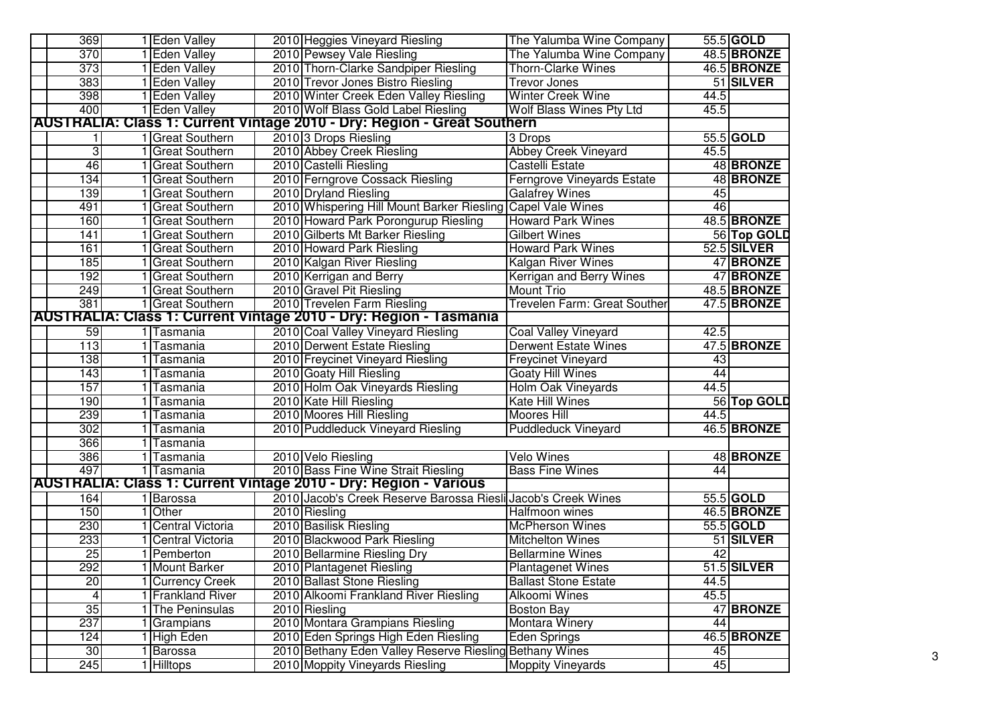| 369                                                                      | 1 Eden Valley           | 2010 Heggies Vineyard Riesling<br>The Yalumba Wine Company                     |                   | 55.5 GOLD          |  |  |
|--------------------------------------------------------------------------|-------------------------|--------------------------------------------------------------------------------|-------------------|--------------------|--|--|
| 370                                                                      | 1 Eden Valley           | 2010 Pewsey Vale Riesling<br>The Yalumba Wine Company                          |                   | 48.5 BRONZE        |  |  |
| 373                                                                      | 1 Eden Valley           | 2010 Thorn-Clarke Sandpiper Riesling<br><b>Thorn-Clarke Wines</b>              |                   | <b>46.5 BRONZE</b> |  |  |
| 383                                                                      | 1 Eden Valley           | 2010 Trevor Jones Bistro Riesling<br><b>Trevor Jones</b>                       |                   | 51 SILVER          |  |  |
| 398                                                                      | 1 Eden Valley           | 2010 Winter Creek Eden Valley Riesling<br>Winter Creek Wine                    | 44.5              |                    |  |  |
| 400                                                                      | 1 Eden Valley           | 2010 Wolf Blass Gold Label Riesling<br>Wolf Blass Wines Pty Ltd                | 45.5              |                    |  |  |
|                                                                          |                         | <b>AUSTRALIA: Class 1: Current Vintage 2010 - Dry: Region - Great Southern</b> |                   |                    |  |  |
|                                                                          | 1 Great Southern        | 2010 3 Drops Riesling<br>3 Drops                                               |                   | 55.5 GOLD          |  |  |
| 3                                                                        | 1 Great Southern        | 2010 Abbey Creek Riesling<br><b>Abbey Creek Vineyard</b>                       | 45.5              |                    |  |  |
| 46                                                                       | 1 Great Southern        | 2010 Castelli Riesling<br><b>Castelli Estate</b>                               |                   | 48 BRONZE          |  |  |
| 134                                                                      | 1 Great Southern        | 2010 Ferngrove Cossack Riesling<br><b>Ferngrove Vineyards Estate</b>           |                   | 48 BRONZE          |  |  |
| 139                                                                      | 1 Great Southern        | 2010 Dryland Riesling<br><b>Galafrey Wines</b>                                 | 45                |                    |  |  |
| 491                                                                      | <b>Great Southern</b>   | 2010 Whispering Hill Mount Barker Riesling Capel Vale Wines                    | 46                |                    |  |  |
| 160                                                                      | <b>Great Southern</b>   | 2010 Howard Park Porongurup Riesling<br><b>Howard Park Wines</b>               |                   | 48.5 BRONZE        |  |  |
| 141                                                                      | <b>Great Southern</b>   | 2010 Gilberts Mt Barker Riesling<br><b>Gilbert Wines</b>                       |                   | 56 Top GOLD        |  |  |
| 161                                                                      | <b>Great Southern</b>   | 2010 Howard Park Riesling<br><b>Howard Park Wines</b>                          |                   | 52.5 SILVER        |  |  |
| 185                                                                      | <b>Great Southern</b>   | 2010 Kalgan River Riesling<br>Kalgan River Wines                               |                   | 47 BRONZE          |  |  |
| 192                                                                      | <b>Great Southern</b>   | 2010 Kerrigan and Berry<br>Kerrigan and Berry Wines                            |                   | 47 BRONZE          |  |  |
| 249                                                                      | <b>Great Southern</b>   | 2010 Gravel Pit Riesling<br><b>Mount Trio</b>                                  |                   | 48.5 BRONZE        |  |  |
| 381                                                                      | 1 Great Southern        | 2010 Trevelen Farm Riesling<br>Trevelen Farm: Great Souther                    |                   | 47.5 BRONZE        |  |  |
| <b>AUSTRALIA: Class 1: Current Vintage 2010 - Dry: Region - Tasmania</b> |                         |                                                                                |                   |                    |  |  |
| 59                                                                       | 1 Tasmania              | 2010 Coal Valley Vineyard Riesling<br>Coal Valley Vineyard                     | $\overline{42.5}$ |                    |  |  |
| 113                                                                      | 1 Tasmania              | 2010 Derwent Estate Riesling<br><b>Derwent Estate Wines</b>                    |                   | 47.5 BRONZE        |  |  |
| 138                                                                      | 1 Tasmania              | 2010 Freycinet Vineyard Riesling<br><b>Freycinet Vineyard</b>                  | 43                |                    |  |  |
| 143                                                                      | 1 Tasmania              | 2010 Goaty Hill Riesling<br><b>Goaty Hill Wines</b>                            | 44                |                    |  |  |
| 157                                                                      | 1 Tasmania              | 2010 Holm Oak Vineyards Riesling<br>Holm Oak Vineyards                         | 44.5              |                    |  |  |
| 190                                                                      | 1   Tasmania            | 2010 Kate Hill Riesling<br>Kate Hill Wines                                     |                   | 56 Top GOLD        |  |  |
| 239                                                                      | 1 Tasmania              | 2010 Moores Hill Riesling<br><b>Moores Hill</b>                                | 44.5              |                    |  |  |
| 302                                                                      | 1 Tasmania              | 2010 Puddleduck Vineyard Riesling<br><b>Puddleduck Vineyard</b>                |                   | 46.5 BRONZE        |  |  |
| 366                                                                      | 1 Tasmania              |                                                                                |                   |                    |  |  |
| 386                                                                      | 1 Tasmania              | <b>Velo Wines</b><br>2010 Velo Riesling                                        |                   | 48 BRONZE          |  |  |
| 497                                                                      | 1 Tasmania              | 2010 Bass Fine Wine Strait Riesling<br><b>Bass Fine Wines</b>                  | 44                |                    |  |  |
|                                                                          |                         | <b>AUSTRALIA: Class 1: Current Vintage 2010 - Dry: Region - Various</b>        |                   |                    |  |  |
| 164                                                                      | 1 Barossa               | 2010 Jacob's Creek Reserve Barossa Riesli Jacob's Creek Wines                  |                   | 55.5 GOLD          |  |  |
| 150                                                                      | 1 Other                 | 2010 Riesling<br>Halfmoon wines                                                |                   | 46.5 BRONZE        |  |  |
| 230                                                                      | <b>Central Victoria</b> | 2010 Basilisk Riesling<br><b>McPherson Wines</b>                               |                   | 55.5 GOLD          |  |  |
| 233                                                                      | Central Victoria        | 2010 Blackwood Park Riesling<br><b>Mitchelton Wines</b>                        |                   | 51 SILVER          |  |  |
| 25                                                                       | 1 Pemberton             | 2010 Bellarmine Riesling Dry<br><b>Bellarmine Wines</b>                        | 42                |                    |  |  |
| 292                                                                      | 1 Mount Barker          | 2010 Plantagenet Riesling<br><b>Plantagenet Wines</b>                          |                   | 51.5 SILVER        |  |  |
| 20                                                                       | <b>Currency Creek</b>   | 2010 Ballast Stone Riesling<br><b>Ballast Stone Estate</b>                     | 44.5              |                    |  |  |
| 4                                                                        | <b>Frankland River</b>  | 2010 Alkoomi Frankland River Riesling<br>Alkoomi Wines                         | 45.5              |                    |  |  |
| 35                                                                       | 1 The Peninsulas        | 2010 Riesling<br><b>Boston Bay</b>                                             |                   | 47 BRONZE          |  |  |
| 237                                                                      | 1 Grampians             | 2010 Montara Grampians Riesling<br><b>Montara Winery</b>                       | 44                |                    |  |  |
| 124                                                                      | 1 High Eden             | 2010 Eden Springs High Eden Riesling<br>Eden Springs                           |                   | 46.5 BRONZE        |  |  |
| 30 <sub>o</sub>                                                          | 1 Barossa               | 2010 Bethany Eden Valley Reserve Riesling Bethany Wines                        | 45                |                    |  |  |
| 245                                                                      | 1 Hilltops              | 2010 Moppity Vineyards Riesling<br><b>Moppity Vineyards</b>                    | 45                |                    |  |  |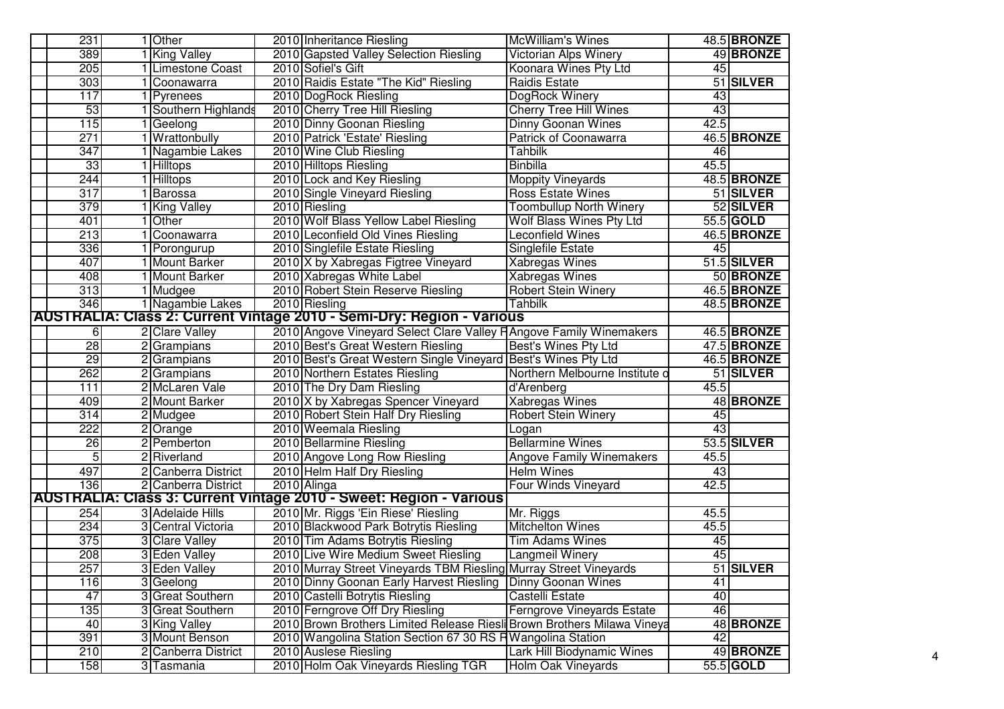| 231                        | 1 Other              |  | 2010 Inheritance Riesling                                                 | <b>McWilliam's Wines</b>          |                 | 48.5 BRONZE        |
|----------------------------|----------------------|--|---------------------------------------------------------------------------|-----------------------------------|-----------------|--------------------|
| 389                        | 1 King Valley        |  | 2010 Gapsted Valley Selection Riesling                                    | Victorian Alps Winery             |                 | 49 BRONZE          |
| 205                        | 1 Limestone Coast    |  | 2010 Sofiel's Gift                                                        | Koonara Wines Pty Ltd             | 45              |                    |
| 303                        | 1 Coonawarra         |  | 2010 Raidis Estate "The Kid" Riesling                                     | <b>Raidis Estate</b>              |                 | 51 SILVER          |
| 117                        | 1 Pyrenees           |  | 2010 DogRock Riesling                                                     | DogRock Winery                    | 43              |                    |
| 53                         | Southern Highlands   |  | 2010 Cherry Tree Hill Riesling                                            | <b>Cherry Tree Hill Wines</b>     | 43              |                    |
| 115                        | Geelong              |  | 2010 Dinny Goonan Riesling                                                | <b>Dinny Goonan Wines</b>         | 42.5            |                    |
| 271                        | Wrattonbully         |  | 2010 Patrick 'Estate' Riesling                                            | <b>Patrick of Coonawarra</b>      |                 | 46.5 BRONZE        |
| $\overline{347}$           | 1 Nagambie Lakes     |  | 2010 Wine Club Riesling                                                   | <b>Tahbilk</b>                    | 46              |                    |
| 33                         | 1 Hilltops           |  | 2010 Hilltops Riesling                                                    | <b>Binbilla</b>                   | 45.5            |                    |
| 244                        | 1 Hilltops           |  | 2010 Lock and Key Riesling                                                | <b>Moppity Vineyards</b>          |                 | 48.5 BRONZE        |
| 317<br>1 Barossa           |                      |  | 2010 Single Vineyard Riesling                                             | <b>Ross Estate Wines</b>          |                 | 51 SILVER          |
|                            | 379<br>1 King Valley |  | 2010 Riesling                                                             | <b>Toombullup North Winery</b>    |                 | 52 SILVER          |
| 401                        | 1 Other              |  | 2010 Wolf Blass Yellow Label Riesling                                     | Wolf Blass Wines Pty Ltd          |                 | 55.5 GOLD          |
| 213<br>Coonawarra          |                      |  | 2010 Leconfield Old Vines Riesling                                        | Leconfield Wines                  |                 | 46.5 BRONZE        |
| 336<br>Porongurup          |                      |  | 2010 Singlefile Estate Riesling                                           | <b>Singlefile Estate</b>          | 45              |                    |
| 407<br><b>Mount Barker</b> |                      |  | 2010 X by Xabregas Figtree Vineyard                                       | <b>Xabregas Wines</b>             |                 | 51.5 SILVER        |
| 408<br>1 Mount Barker      |                      |  | 2010 Xabregas White Label                                                 | <b>Xabregas Wines</b>             |                 | 50 BRONZE          |
| 313                        | 1 Mudgee             |  | 2010 Robert Stein Reserve Riesling                                        | <b>Robert Stein Winery</b>        |                 | <b>46.5 BRONZE</b> |
| 346                        | 1 Nagambie Lakes     |  | 2010 Riesling                                                             | <b>Tahbilk</b>                    |                 | 48.5 BRONZE        |
|                            |                      |  | AUSTRALIA: Class 2: Current Vintage 2010 - Semi-Dry: Region - Various     |                                   |                 |                    |
| 6                          | 2 Clare Valley       |  | 2010 Angove Vineyard Select Clare Valley F Angove Family Winemakers       |                                   |                 | 46.5 BRONZE        |
| 28                         | 2 Grampians          |  | 2010 Best's Great Western Riesling                                        | Best's Wines Pty Ltd              |                 | 47.5 BRONZE        |
| 29                         | 2 Grampians          |  | 2010 Best's Great Western Single Vineyard Best's Wines Pty Ltd            |                                   |                 | 46.5 BRONZE        |
| 262                        | 2 Grampians          |  | 2010 Northern Estates Riesling                                            | Northern Melbourne Institute o    |                 | 51 SILVER          |
| 111                        | 2 McLaren Vale       |  | 2010 The Dry Dam Riesling                                                 | d'Arenberg                        | 45.5            |                    |
| 409                        | 2 Mount Barker       |  | 2010 X by Xabregas Spencer Vineyard                                       | <b>Xabregas Wines</b>             |                 | 48 BRONZE          |
| 314                        | 2 Mudgee             |  | 2010 Robert Stein Half Dry Riesling                                       | <b>Robert Stein Winery</b>        | 45              |                    |
| 222                        | 2 Orange             |  | 2010 Weemala Riesling                                                     | Logan                             | 43              |                    |
| $\overline{26}$            | 2 Pemberton          |  | 2010 Bellarmine Riesling                                                  | <b>Bellarmine Wines</b>           |                 | 53.5 SILVER        |
| 5                          | 2 Riverland          |  | 2010 Angove Long Row Riesling                                             | <b>Angove Family Winemakers</b>   | 45.5            |                    |
| 497                        | 2 Canberra District  |  | 2010 Helm Half Dry Riesling                                               | <b>Helm Wines</b>                 | 43              |                    |
| 136                        | 2 Canberra District  |  | 2010 Alinga                                                               | Four Winds Vineyard               | 42.5            |                    |
|                            |                      |  | <b>AUSTRALIA: Class 3: Current Vintage 2010 - Sweet: Region - Various</b> |                                   |                 |                    |
| 254                        | 3 Adelaide Hills     |  | 2010 Mr. Riggs 'Ein Riese' Riesling                                       | Mr. Riggs                         | 45.5            |                    |
| 234                        | 3 Central Victoria   |  | 2010 Blackwood Park Botrytis Riesling                                     | <b>Mitchelton Wines</b>           | 45.5            |                    |
| 375                        | 3 Clare Valley       |  | 2010 Tim Adams Botrytis Riesling                                          | <b>Tim Adams Wines</b>            | 45              |                    |
| 208                        | 3 Eden Valley        |  | 2010 Live Wire Medium Sweet Riesling                                      | Langmeil Winery                   | 45              |                    |
| 257                        | 3 Eden Valley        |  | 2010 Murray Street Vineyards TBM Riesling Murray Street Vineyards         |                                   |                 | 51 SILVER          |
| 116                        | 3 Geelong            |  | 2010 Dinny Goonan Early Harvest Riesling                                  | Dinny Goonan Wines                | $\overline{41}$ |                    |
| 47                         | 3 Great Southern     |  | 2010 Castelli Botrytis Riesling                                           | Castelli Estate                   | 40              |                    |
| 135                        | 3 Great Southern     |  | 2010 Ferngrove Off Dry Riesling                                           | <b>Ferngrove Vineyards Estate</b> | 46              |                    |
| 40                         | 3 King Valley        |  | 2010 Brown Brothers Limited Release Riesli Brown Brothers Milawa Vineya   |                                   |                 | 48 BRONZE          |
| 391<br>3 Mount Benson      |                      |  | 2010 Wangolina Station Section 67 30 RS HWangolina Station                |                                   | 42              |                    |
| 210                        | 2 Canberra District  |  | 2010 Auslese Riesling                                                     | Lark Hill Biodynamic Wines        |                 | 49 BRONZE          |
| 158                        | 3 Tasmania           |  | 2010 Holm Oak Vineyards Riesling TGR                                      | Holm Oak Vineyards                |                 | 55.5 GOLD          |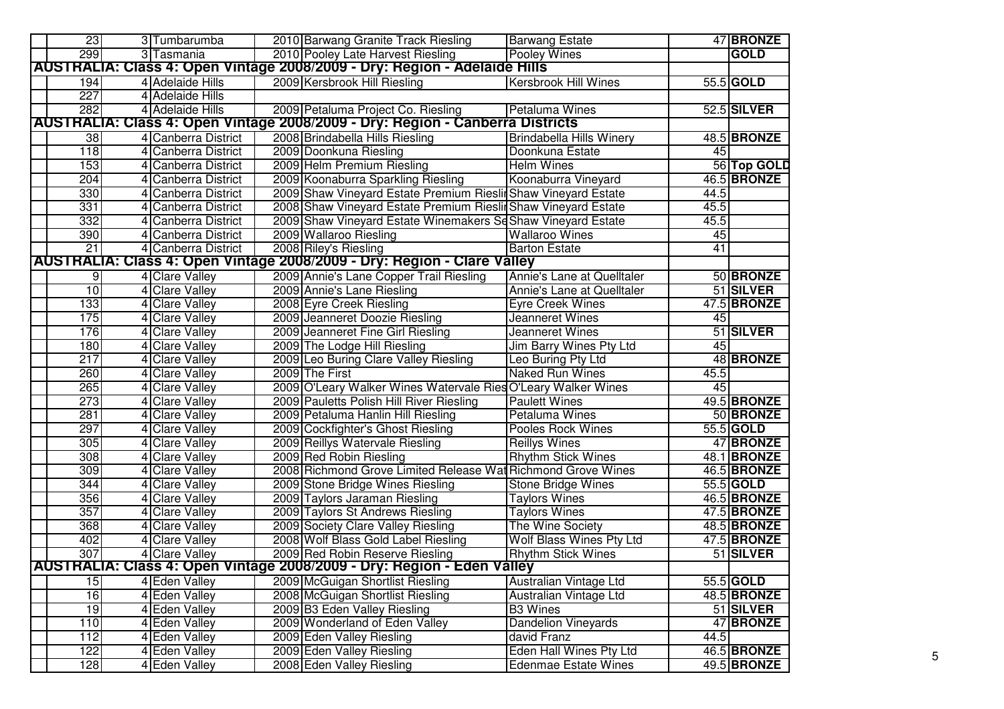| 23              | 3 Tumbarumba        | 2010 Barwang Granite Track Riesling                                           | <b>Barwang Estate</b>           |                 | 47 BRONZE   |
|-----------------|---------------------|-------------------------------------------------------------------------------|---------------------------------|-----------------|-------------|
| 299             | 3 Tasmania          | 2010 Pooley Late Harvest Riesling                                             | <b>Pooley Wines</b>             |                 | <b>GOLD</b> |
|                 |                     | AUSTRALIA: Class 4: Open Vintage 2008/2009 - Dry: Region - Adelaide Hills     |                                 |                 |             |
| 194             | 4 Adelaide Hills    | 2009 Kersbrook Hill Riesling                                                  | <b>Kersbrook Hill Wines</b>     |                 | 55.5 GOLD   |
| 227             | 4 Adelaide Hills    |                                                                               |                                 |                 |             |
| 282             | 4 Adelaide Hills    | 2009 Petaluma Project Co. Riesling                                            | Petaluma Wines                  |                 | 52.5 SILVER |
|                 |                     | AUSTRALIA: Class 4: Open Vintage 2008/2009 - Dry: Region - Canberra Districts |                                 |                 |             |
| 38              | 4 Canberra District | 2008 Brindabella Hills Riesling                                               | <b>Brindabella Hills Winery</b> |                 | 48.5 BRONZE |
| 118             | 4 Canberra District | 2009 Doonkuna Riesling                                                        | Doonkuna Estate                 | 45              |             |
| 153             | 4 Canberra District | 2009 Helm Premium Riesling                                                    | <b>Helm Wines</b>               |                 | 56 Top GOLD |
| 204             | 4 Canberra District | 2009 Koonaburra Sparkling Riesling                                            | Koonaburra Vineyard             |                 | 46.5 BRONZE |
| 330             | 4 Canberra District | 2009 Shaw Vineyard Estate Premium Rieslin Shaw Vineyard Estate                |                                 | 44.5            |             |
| 331             | 4 Canberra District | 2008 Shaw Vineyard Estate Premium Rieslin Shaw Vineyard Estate                |                                 | 45.5            |             |
| 332             | 4 Canberra District | 2009 Shaw Vineyard Estate Winemakers Se Shaw Vineyard Estate                  |                                 | 45.5            |             |
| 390             | 4 Canberra District | 2009 Wallaroo Riesling                                                        | <b>Wallaroo Wines</b>           | 45              |             |
| $\overline{21}$ | 4 Canberra District | 2008 Riley's Riesling                                                         | <b>Barton Estate</b>            | $\overline{41}$ |             |
|                 |                     | AUSTRALIA: Class 4: Open Vintage 2008/2009 - Dry: Region - Clare Valley       |                                 |                 |             |
| 9               | 4 Clare Valley      | 2009 Annie's Lane Copper Trail Riesling                                       | Annie's Lane at Quelltaler      |                 | 50 BRONZE   |
| 10              | 4 Clare Valley      | 2009 Annie's Lane Riesling                                                    | Annie's Lane at Quelltaler      |                 | 51 SILVER   |
| 133             | 4 Clare Valley      | 2008 Eyre Creek Riesling                                                      | <b>Eyre Creek Wines</b>         |                 | 47.5 BRONZE |
| 175             | 4 Clare Valley      | 2009 Jeanneret Doozie Riesling                                                | Jeanneret Wines                 | 45              |             |
| 176             | 4 Clare Valley      | 2009 Jeanneret Fine Girl Riesling                                             | Jeanneret Wines                 |                 | 51 SILVER   |
| 180             | 4 Clare Valley      | 2009 The Lodge Hill Riesling                                                  | Jim Barry Wines Pty Ltd         | 45              |             |
| 217             | 4 Clare Valley      | 2009 Leo Buring Clare Valley Riesling                                         | Leo Buring Pty Ltd              |                 | 48 BRONZE   |
| 260             | 4 Clare Valley      | 2009 The First                                                                | <b>Naked Run Wines</b>          | 45.5            |             |
| 265             | 4 Clare Valley      | 2009 O'Leary Walker Wines Watervale Ries O'Leary Walker Wines                 |                                 | 45              |             |
| 273             | 4 Clare Valley      | 2009 Pauletts Polish Hill River Riesling                                      | <b>Paulett Wines</b>            |                 | 49.5 BRONZE |
| 281             | 4 Clare Valley      | 2009 Petaluma Hanlin Hill Riesling                                            | Petaluma Wines                  |                 | 50 BRONZE   |
| 297             | 4 Clare Valley      | 2009 Cockfighter's Ghost Riesling                                             | <b>Pooles Rock Wines</b>        |                 | 55.5 GOLD   |
| 305             | 4 Clare Valley      | 2009 Reillys Watervale Riesling                                               | <b>Reillys Wines</b>            |                 | 47 BRONZE   |
| 308             | 4 Clare Valley      | 2009 Red Robin Riesling                                                       | <b>Rhythm Stick Wines</b>       |                 | 48.1 BRONZE |
| 309             | 4 Clare Valley      | 2008 Richmond Grove Limited Release Wat Richmond Grove Wines                  |                                 |                 | 46.5 BRONZE |
| 344             | 4 Clare Valley      | 2009 Stone Bridge Wines Riesling                                              | <b>Stone Bridge Wines</b>       |                 | 55.5 GOLD   |
| 356             | 4 Clare Valley      | 2009 Taylors Jaraman Riesling                                                 | <b>Taylors Wines</b>            |                 | 46.5 BRONZE |
| 357             | 4 Clare Valley      | 2009 Taylors St Andrews Riesling                                              | <b>Taylors Wines</b>            |                 | 47.5 BRONZE |
| 368             | 4 Clare Valley      | 2009 Society Clare Valley Riesling                                            | The Wine Society                |                 | 48.5 BRONZE |
| 402             | 4 Clare Valley      | 2008 Wolf Blass Gold Label Riesling                                           | Wolf Blass Wines Pty Ltd        |                 | 47.5 BRONZE |
| 307             | 4 Clare Valley      | 2009 Red Robin Reserve Riesling                                               | <b>Rhythm Stick Wines</b>       |                 | 51 SILVER   |
|                 |                     | AUSTRALIA: Class 4: Open Vintage 2008/2009 - Dry: Region - Eden Valley        |                                 |                 |             |
| 15              | 4 Eden Valley       | 2009 McGuigan Shortlist Riesling                                              | Australian Vintage Ltd          |                 | 55.5 GOLD   |
| 16              | 4 Eden Valley       | 2008 McGuigan Shortlist Riesling                                              | Australian Vintage Ltd          |                 | 48.5 BRONZE |
| 19              | 4 Eden Valley       | 2009 B3 Eden Valley Riesling                                                  | <b>B3 Wines</b>                 |                 | 51 SILVER   |
| 110             | 4 Eden Valley       | 2009 Wonderland of Eden Valley                                                | <b>Dandelion Vineyards</b>      |                 | 47 BRONZE   |
| 112             | 4 Eden Valley       | 2009 Eden Valley Riesling                                                     | david Franz                     | 44.5            |             |
| 122             | 4 Eden Valley       | 2009 Eden Valley Riesling                                                     | Eden Hall Wines Pty Ltd         |                 | 46.5 BRONZE |
| 128             | 4 Eden Valley       | 2008 Eden Valley Riesling                                                     | <b>Edenmae Estate Wines</b>     |                 | 49.5 BRONZE |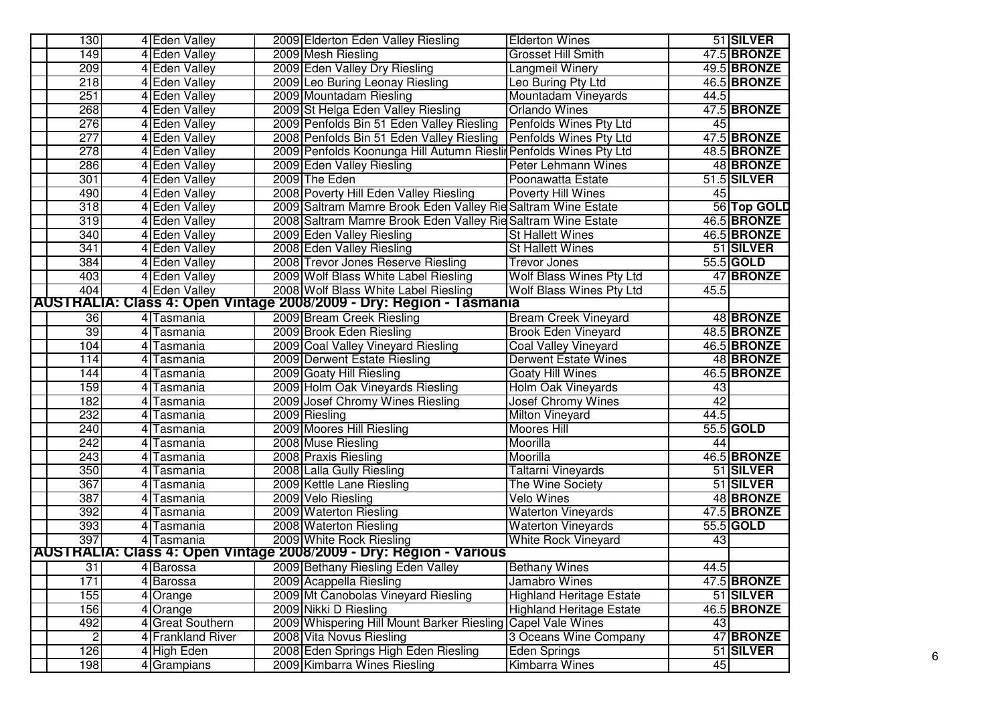| 130            | 4 Eden Valley     | 2009 Elderton Eden Valley Riesling                                  | <b>Elderton Wines</b>           |      | 51 SILVER          |
|----------------|-------------------|---------------------------------------------------------------------|---------------------------------|------|--------------------|
| 149            | 4 Eden Valley     | 2009 Mesh Riesling                                                  | <b>Grosset Hill Smith</b>       |      | 47.5 BRONZE        |
| 209            | 4 Eden Valley     | 2009 Eden Valley Dry Riesling                                       | Langmeil Winery                 |      | 49.5 BRONZE        |
| 218            | 4 Eden Valley     | 2009 Leo Buring Leonay Riesling                                     | Leo Buring Pty Ltd              |      | 46.5 BRONZE        |
| 251            | 4 Eden Valley     | 2009 Mountadam Riesling                                             | Mountadam Vineyards             | 44.5 |                    |
| 268            | 4 Eden Valley     | 2009 St Helga Eden Valley Riesling                                  | <b>Orlando Wines</b>            |      | 47.5 BRONZE        |
| 276            | 4 Eden Valley     | 2009 Penfolds Bin 51 Eden Valley Riesling                           | Penfolds Wines Pty Ltd          | 45   |                    |
| 277            | 4 Eden Valley     | 2008 Penfolds Bin 51 Eden Valley Riesling                           | <b>Penfolds Wines Pty Ltd</b>   |      | 47.5 BRONZE        |
| 278            | 4 Eden Valley     | 2009 Penfolds Koonunga Hill Autumn Rieslin Penfolds Wines Pty Ltd   |                                 |      | <b>48.5 BRONZE</b> |
| 286            | 4 Eden Valley     | 2009 Eden Valley Riesling                                           | <b>Peter Lehmann Wines</b>      |      | 48 BRONZE          |
| 301            | 4 Eden Valley     | 2009 The Eden                                                       | Poonawatta Estate               |      | 51.5 SILVER        |
| 490            | 4 Eden Valley     | 2008 Poverty Hill Eden Valley Riesling                              | <b>Poverty Hill Wines</b>       | 45   |                    |
| 318            | 4 Eden Valley     | 2009 Saltram Mamre Brook Eden Valley Rie Saltram Wine Estate        |                                 |      | 56 Top GOLD        |
| 319            | 4 Eden Valley     | 2008 Saltram Mamre Brook Eden Valley Rie Saltram Wine Estate        |                                 |      | 46.5 BRONZE        |
| 340            | 4 Eden Valley     | 2009 Eden Valley Riesling                                           | <b>St Hallett Wines</b>         |      | 46.5 BRONZE        |
| 341            | 4 Eden Valley     | 2008 Eden Valley Riesling                                           | <b>St Hallett Wines</b>         |      | 51 SILVER          |
| 384            | 4 Eden Valley     | 2008 Trevor Jones Reserve Riesling                                  | <b>Trevor Jones</b>             |      | 55.5 GOLD          |
| 403            | 4 Eden Valley     | 2009 Wolf Blass White Label Riesling                                | <b>Wolf Blass Wines Pty Ltd</b> |      | 47 BRONZE          |
| 404            | 4 Eden Valley     | 2008 Wolf Blass White Label Riesling                                | Wolf Blass Wines Pty Ltd        | 45.5 |                    |
|                |                   | AUSTRALIA: Class 4: Open Vintage 2008/2009 - Dry: Region - Tasmania |                                 |      |                    |
| 36             | 4 Tasmania        | 2009 Bream Creek Riesling                                           | <b>Bream Creek Vineyard</b>     |      | 48 BRONZE          |
| 39             | 4 Tasmania        | 2009 Brook Eden Riesling                                            | <b>Brook Eden Vineyard</b>      |      | 48.5 BRONZE        |
| 104            | 4 Tasmania        | 2009 Coal Valley Vineyard Riesling                                  | Coal Valley Vineyard            |      | 46.5 BRONZE        |
| 114            | 4 Tasmania        | 2009 Derwent Estate Riesling                                        | <b>Derwent Estate Wines</b>     |      | 48 BRONZE          |
| 144            | 4 Tasmania        | 2009 Goaty Hill Riesling                                            | <b>Goaty Hill Wines</b>         |      | 46.5 BRONZE        |
| 159            | 4 Tasmania        | 2009 Holm Oak Vineyards Riesling                                    | Holm Oak Vineyards              | 43   |                    |
| 182            | 4 Tasmania        | 2009 Josef Chromy Wines Riesling                                    | <b>Josef Chromy Wines</b>       | 42   |                    |
| 232            | 4 Tasmania        | 2009 Riesling                                                       | <b>Milton Vineyard</b>          | 44.5 |                    |
| 240            | 4 Tasmania        | 2009 Moores Hill Riesling                                           | <b>Moores Hill</b>              |      | 55.5 GOLD          |
| 242            | 4 Tasmania        | 2008 Muse Riesling                                                  | Moorilla                        | 44   |                    |
| 243            | 4 Tasmania        | 2008 Praxis Riesling                                                | Moorilla                        |      | <b>46.5 BRONZE</b> |
| 350            | 4 Tasmania        | 2008 Lalla Gully Riesling                                           | <b>Taltarni Vineyards</b>       |      | 51 SILVER          |
| 367            | 4 Tasmania        | 2009 Kettle Lane Riesling                                           | The Wine Society                |      | 51 SILVER          |
| 387            | 4 Tasmania        | 2009 Velo Riesling                                                  | <b>Velo Wines</b>               |      | 48 BRONZE          |
| 392            | 4 Tasmania        | 2009 Waterton Riesling                                              | <b>Waterton Vineyards</b>       |      | 47.5 BRONZE        |
| 393            | 4 Tasmania        | 2008 Waterton Riesling                                              | <b>Waterton Vineyards</b>       |      | 55.5 GOLD          |
| 397            | 4 Tasmania        | 2009 White Rock Riesling                                            | <b>White Rock Vineyard</b>      | 43   |                    |
|                |                   | AUSTRALIA: Class 4: Open Vintage 2008/2009 - Dry: Region - Various  |                                 |      |                    |
| 31             | 4 Barossa         | 2009 Bethany Riesling Eden Valley                                   | <b>Bethany Wines</b>            | 44.5 |                    |
| 171            | 4 Barossa         | 2009 Acappella Riesling                                             | Jamabro Wines                   |      | 47.5 BRONZE        |
| 155            | 4 Orange          | 2009 Mt Canobolas Vineyard Riesling                                 | <b>Highland Heritage Estate</b> |      | 51 SILVER          |
| 156            | 4 Orange          | 2009 Nikki D Riesling                                               | <b>Highland Heritage Estate</b> |      | 46.5 BRONZE        |
| 492            | 4 Great Southern  | 2009 Whispering Hill Mount Barker Riesling                          | <b>Capel Vale Wines</b>         | 43   |                    |
| $\overline{2}$ | 4 Frankland River | 2008 Vita Novus Riesling                                            | 3 Oceans Wine Company           |      | 47 BRONZE          |
| 126            | 4 High Eden       | 2008 Eden Springs High Eden Riesling                                | Eden Springs                    |      | 51 SILVER          |
| 198            | 4 Grampians       | 2009 Kimbarra Wines Riesling                                        | <b>Kimbarra Wines</b>           | 45   |                    |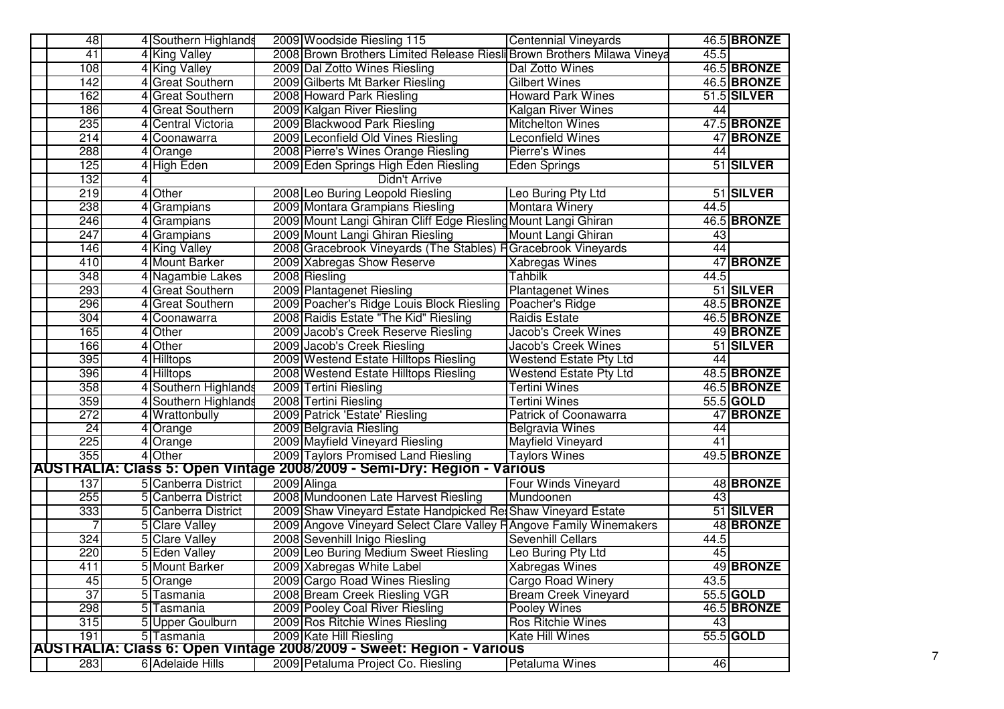| 48               | 4 Southern Highlands        | <b>Centennial Vineyards</b><br>2009 Woodside Riesling 115               | <b>46.5 BRONZE</b> |  |  |  |
|------------------|-----------------------------|-------------------------------------------------------------------------|--------------------|--|--|--|
| 41               | 4 King Valley               | 2008 Brown Brothers Limited Release Riesli Brown Brothers Milawa Vineya | 45.5               |  |  |  |
| 108              | 4 King Valley               | 2009 Dal Zotto Wines Riesling<br>Dal Zotto Wines                        | 46.5 BRONZE        |  |  |  |
| 142              | 4 Great Southern            | 2009 Gilberts Mt Barker Riesling<br><b>Gilbert Wines</b>                | 46.5 BRONZE        |  |  |  |
| 162              | 4 Great Southern            | 2008 Howard Park Riesling<br><b>Howard Park Wines</b>                   | 51.5 SILVER        |  |  |  |
| 186              | <b>Great Southern</b>       | 2009 Kalgan River Riesling<br><b>Kalgan River Wines</b>                 | 44                 |  |  |  |
| 235              | Central Victoria            | 2009 Blackwood Park Riesling<br><b>Mitchelton Wines</b>                 | 47.5 BRONZE        |  |  |  |
| 214              | 4 Coonawarra                | 2009 Leconfield Old Vines Riesling<br><b>Leconfield Wines</b>           | 47 BRONZE          |  |  |  |
| 288              | 4 Orange                    | 2008 Pierre's Wines Orange Riesling<br>Pierre's Wines                   | 44                 |  |  |  |
| 125              | 4 High Eden                 | 2009 Eden Springs High Eden Riesling<br>Eden Springs                    | 51 SILVER          |  |  |  |
|                  | 132<br><b>Didn't Arrive</b> |                                                                         |                    |  |  |  |
| 219              | 4 Other                     | 2008 Leo Buring Leopold Riesling<br>Leo Buring Pty Ltd                  | 51 SILVER          |  |  |  |
| 238              | 4 Grampians                 | 2009 Montara Grampians Riesling<br><b>Montara Winery</b>                | 44.5               |  |  |  |
| 246              | 4 Grampians                 | 2009 Mount Langi Ghiran Cliff Edge Riesling Mount Langi Ghiran          | 46.5 BRONZE        |  |  |  |
| $\overline{247}$ | 4 Grampians                 | 2009 Mount Langi Ghiran Riesling<br>Mount Langi Ghiran                  | 43                 |  |  |  |
| 146              | 4 King Valley               | 2008 Gracebrook Vineyards (The Stables) HGracebrook Vineyards           | 44                 |  |  |  |
| 410              | 4 Mount Barker              | 2009 Xabregas Show Reserve<br><b>Xabregas Wines</b>                     | 47 BRONZE          |  |  |  |
| 348              | 4 Nagambie Lakes            | 2008 Riesling<br><b>Tahbilk</b>                                         | 44.5               |  |  |  |
| 293              | <b>Great Southern</b>       | 2009 Plantagenet Riesling<br><b>Plantagenet Wines</b>                   | 51 SILVER          |  |  |  |
| 296              | <b>Great Southern</b>       | 2009 Poacher's Ridge Louis Block Riesling<br>Poacher's Ridge            | 48.5 BRONZE        |  |  |  |
| 304              | 4 Coonawarra                | 2008 Raidis Estate "The Kid" Riesling<br>Raidis Estate                  | 46.5 BRONZE        |  |  |  |
| 165              | 4 Other                     | 2009 Jacob's Creek Reserve Riesling<br><b>Jacob's Creek Wines</b>       | 49 BRONZE          |  |  |  |
| 166              | 4 Other                     | 2009 Jacob's Creek Riesling<br><b>Jacob's Creek Wines</b>               | 51 SILVER          |  |  |  |
| 395              | 4 Hilltops                  | 2009 Westend Estate Hilltops Riesling<br><b>Westend Estate Pty Ltd</b>  | 44                 |  |  |  |
| 396              | 4 Hilltops                  | 2008 Westend Estate Hilltops Riesling<br><b>Westend Estate Pty Ltd</b>  | 48.5 BRONZE        |  |  |  |
| 358              | 4 Southern Highlands        | 2009 Tertini Riesling<br>Tertini Wines                                  | 46.5 BRONZE        |  |  |  |
| 359              | 4 Southern Highlands        | 2008 Tertini Riesling<br>Tertini Wines                                  | 55.5 GOLD          |  |  |  |
| 272              | 4 Wrattonbully              | 2009 Patrick 'Estate' Riesling<br><b>Patrick of Coonawarra</b>          | 47 BRONZE          |  |  |  |
| 24               | 4 Orange                    | 2009 Belgravia Riesling<br><b>Belgravia Wines</b>                       | 44                 |  |  |  |
| 225              | 4 Orange                    | 2009 Mayfield Vineyard Riesling<br><b>Mayfield Vineyard</b>             | 41                 |  |  |  |
| 355              | 4 Other                     | 2009 Taylors Promised Land Riesling<br><b>Taylors Wines</b>             | 49.5 BRONZE        |  |  |  |
|                  |                             | AUSTRALIA: Class 5: Open Vintage 2008/2009 - Semi-Dry: Region - Various |                    |  |  |  |
| 137              | 5 Canberra District         | Four Winds Vineyard<br>2009 Alinga                                      | 48 BRONZE          |  |  |  |
| 255              | 5 Canberra District         | 2008 Mundoonen Late Harvest Riesling<br>Mundoonen                       | 43                 |  |  |  |
| 333              | 5 Canberra District         | 2009 Shaw Vineyard Estate Handpicked Ret Shaw Vineyard Estate           | 51 SILVER          |  |  |  |
| 7                | 5 Clare Valley              | 2009 Angove Vineyard Select Clare Valley HAngove Family Winemakers      | 48 BRONZE          |  |  |  |
| 324              | 5 Clare Valley              | 2008 Sevenhill Inigo Riesling<br>Sevenhill Cellars                      | 44.5               |  |  |  |
| 220              | 5 Eden Valley               | 2009 Leo Buring Medium Sweet Riesling<br>Leo Buring Pty Ltd             | 45                 |  |  |  |
| 411              | 5 Mount Barker              | 2009 Xabregas White Label<br><b>Xabregas Wines</b>                      | 49 BRONZE          |  |  |  |
| 45               | 5 Orange                    | 2009 Cargo Road Wines Riesling<br>Cargo Road Winery                     | 43.5               |  |  |  |
| 37               | 5 Tasmania                  | 2008 Bream Creek Riesling VGR<br><b>Bream Creek Vineyard</b>            | 55.5 GOLD          |  |  |  |
| 298              | 5 Tasmania                  | 2009 Pooley Coal River Riesling<br><b>Pooley Wines</b>                  | 46.5 BRONZE        |  |  |  |
| 315              | 5 Upper Goulburn            | 2009 Ros Ritchie Wines Riesling<br><b>Ros Ritchie Wines</b>             | 43                 |  |  |  |
| 191              | 5 Tasmania                  | 2009 Kate Hill Riesling<br><b>Kate Hill Wines</b>                       | 55.5 GOLD          |  |  |  |
|                  |                             | AUSTRALIA: Class 6: Open Vintage 2008/2009 - Sweet: Region - Various    |                    |  |  |  |
| 283              | 6 Adelaide Hills            | Petaluma Wines<br>2009 Petaluma Project Co. Riesling                    | 46                 |  |  |  |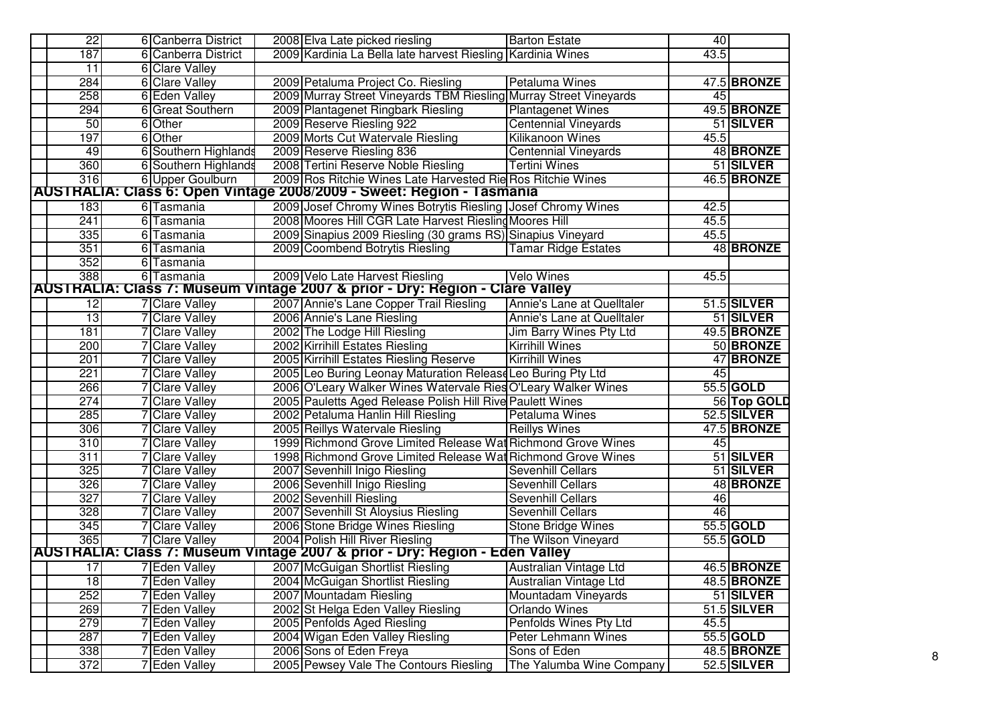| $\overline{22}$                                                       | 6 Canberra District   | 2008 Elva Late picked riesling<br><b>Barton Estate</b>                                 | 40   |                  |  |  |  |  |  |  |
|-----------------------------------------------------------------------|-----------------------|----------------------------------------------------------------------------------------|------|------------------|--|--|--|--|--|--|
| 187                                                                   | 6 Canberra District   | 2009 Kardinia La Bella late harvest Riesling Kardinia Wines                            | 43.5 |                  |  |  |  |  |  |  |
| $\overline{11}$                                                       | 6 Clare Valley        |                                                                                        |      |                  |  |  |  |  |  |  |
| 284                                                                   | 6 Clare Valley        | 2009 Petaluma Project Co. Riesling<br>Petaluma Wines                                   |      | 47.5 BRONZE      |  |  |  |  |  |  |
| 258                                                                   | 6 Eden Valley         | 2009 Murray Street Vineyards TBM Riesling Murray Street Vineyards                      | 45   |                  |  |  |  |  |  |  |
| 294                                                                   | 6 Great Southern      | 2009 Plantagenet Ringbark Riesling<br><b>Plantagenet Wines</b>                         |      | 49.5 BRONZE      |  |  |  |  |  |  |
| 50                                                                    | 6 Other               | 2009 Reserve Riesling 922<br><b>Centennial Vineyards</b>                               |      | 51 SILVER        |  |  |  |  |  |  |
| 197                                                                   | 6 Other               | <b>Kilikanoon Wines</b><br>2009 Morts Cut Watervale Riesling                           | 45.5 |                  |  |  |  |  |  |  |
| 49                                                                    | 6 Southern Highlands  | 2009 Reserve Riesling 836<br><b>Centennial Vineyards</b>                               |      | 48 BRONZE        |  |  |  |  |  |  |
| 360                                                                   | 6 Southern Highlands  | 2008 Tertini Reserve Noble Riesling<br><b>Tertini Wines</b>                            |      | 51 SILVER        |  |  |  |  |  |  |
| 316                                                                   | 6 Upper Goulburn      | 2009 Ros Ritchie Wines Late Harvested Rie Ros Ritchie Wines                            |      | 46.5 BRONZE      |  |  |  |  |  |  |
| AUSTRALIA: Class 6: Open Vintage 2008/2009 - Sweet: Region - Tasmania |                       |                                                                                        |      |                  |  |  |  |  |  |  |
| 183                                                                   | 6 Tasmania            | 2009 Josef Chromy Wines Botrytis Riesling Josef Chromy Wines                           | 42.5 |                  |  |  |  |  |  |  |
| 241                                                                   | 6 Tasmania            | 2008 Moores Hill CGR Late Harvest Riesling Moores Hill                                 | 45.5 |                  |  |  |  |  |  |  |
| 335                                                                   | 6 Tasmania            | 2009 Sinapius 2009 Riesling (30 grams RS) Sinapius Vineyard                            | 45.5 |                  |  |  |  |  |  |  |
| 351                                                                   | 6 Tasmania            | 2009 Coombend Botrytis Riesling<br><b>Tamar Ridge Estates</b>                          |      | <b>48 BRONZE</b> |  |  |  |  |  |  |
| 352                                                                   | 6 Tasmania            |                                                                                        |      |                  |  |  |  |  |  |  |
| 388                                                                   | 6 Tasmania            | 2009 Velo Late Harvest Riesling<br><b>Velo Wines</b>                                   | 45.5 |                  |  |  |  |  |  |  |
|                                                                       |                       | AUSTRALIA: Class 7: Museum Vintage 2007 & prior - Dry: Region - Clare Valley           |      |                  |  |  |  |  |  |  |
| $\overline{12}$                                                       | <b>7</b> Clare Valley | 2007 Annie's Lane Copper Trail Riesling<br>Annie's Lane at Quelltaler                  |      | 51.5 SILVER      |  |  |  |  |  |  |
| 13                                                                    | <b>7</b> Clare Valley | 2006 Annie's Lane Riesling<br>Annie's Lane at Quelltaler                               |      | 51 SILVER        |  |  |  |  |  |  |
| 181                                                                   | 7 Clare Valley        | 2002 The Lodge Hill Riesling<br>Jim Barry Wines Pty Ltd                                |      | 49.5 BRONZE      |  |  |  |  |  |  |
| 200                                                                   | <b>Clare Valley</b>   | 2002 Kirrihill Estates Riesling<br><b>Kirrihill Wines</b>                              |      | 50 BRONZE        |  |  |  |  |  |  |
| 201                                                                   | <b>Clare Valley</b>   | 2005 Kirrihill Estates Riesling Reserve<br><b>Kirrihill Wines</b>                      |      | 47 BRONZE        |  |  |  |  |  |  |
| 221                                                                   | <b>Clare Valley</b>   | 2005 Leo Buring Leonay Maturation Release Leo Buring Pty Ltd                           | 45   |                  |  |  |  |  |  |  |
| 266                                                                   | <b>Clare Valley</b>   | 2006 O'Leary Walker Wines Watervale Ries O'Leary Walker Wines                          |      | 55.5 GOLD        |  |  |  |  |  |  |
| 274                                                                   | <b>Clare Valley</b>   | 2005 Pauletts Aged Release Polish Hill Rive Paulett Wines                              |      | 56 Top GOLD      |  |  |  |  |  |  |
| 285                                                                   | 7 Clare Valley        | 2002 Petaluma Hanlin Hill Riesling<br><b>Petaluma Wines</b>                            |      | 52.5 SILVER      |  |  |  |  |  |  |
| 306                                                                   | <b>7</b> Clare Valley | 2005 Reillys Watervale Riesling<br><b>Reillys Wines</b>                                |      | 47.5 BRONZE      |  |  |  |  |  |  |
| 310                                                                   | 7 Clare Valley        | 1999 Richmond Grove Limited Release Wat Richmond Grove Wines                           | 45   |                  |  |  |  |  |  |  |
| 311                                                                   | 7 Clare Valley        | 1998 Richmond Grove Limited Release Wat Richmond Grove Wines                           |      | 51 SILVER        |  |  |  |  |  |  |
| 325                                                                   | <b>Clare Valley</b>   | 2007 Sevenhill Inigo Riesling<br><b>Sevenhill Cellars</b>                              |      | 51 SILVER        |  |  |  |  |  |  |
| 326                                                                   | <b>Clare Valley</b>   | 2006 Sevenhill Inigo Riesling<br>Sevenhill Cellars                                     |      | 48 BRONZE        |  |  |  |  |  |  |
| 327                                                                   | <b>Clare Valley</b>   | 2002 Sevenhill Riesling<br>Sevenhill Cellars                                           | 46   |                  |  |  |  |  |  |  |
| 328                                                                   | <b>Clare Valley</b>   | 2007 Sevenhill St Aloysius Riesling<br>Sevenhill Cellars                               | 46   |                  |  |  |  |  |  |  |
| 345                                                                   | <b>Clare Valley</b>   | 2006 Stone Bridge Wines Riesling<br><b>Stone Bridge Wines</b>                          |      | 55.5 GOLD        |  |  |  |  |  |  |
| 365                                                                   | <b>7 Clare Valley</b> | The Wilson Vineyard<br>2004 Polish Hill River Riesling                                 |      | 55.5 GOLD        |  |  |  |  |  |  |
|                                                                       |                       | <b>AUSTRALIA: Class 7: Museum Vintage 2007 &amp; prior - Dry: Region - Eden Valley</b> |      |                  |  |  |  |  |  |  |
| 17                                                                    | <b>7</b> Eden Valley  | 2007 McGuigan Shortlist Riesling<br>Australian Vintage Ltd                             |      | 46.5 BRONZE      |  |  |  |  |  |  |
| 18                                                                    | <b>7 Eden Valley</b>  | 2004 McGuigan Shortlist Riesling<br>Australian Vintage Ltd                             |      | 48.5 BRONZE      |  |  |  |  |  |  |
| 252                                                                   | <b>Eden Valley</b>    | 2007 Mountadam Riesling<br>Mountadam Vineyards                                         |      | 51 SILVER        |  |  |  |  |  |  |
| 269                                                                   | <b>Eden Valley</b>    | 2002 St Helga Eden Valley Riesling<br>Orlando Wines                                    |      | 51.5 SILVER      |  |  |  |  |  |  |
| 279                                                                   | 7 Eden Valley         | Penfolds Wines Pty Ltd<br>2005 Penfolds Aged Riesling                                  | 45.5 |                  |  |  |  |  |  |  |
| 287                                                                   | 7 Eden Valley         | 2004 Wigan Eden Valley Riesling<br>Peter Lehmann Wines                                 |      | 55.5 GOLD        |  |  |  |  |  |  |
| 338                                                                   | 7 Eden Valley         | 2006 Sons of Eden Freya<br>Sons of Eden                                                |      | 48.5 BRONZE      |  |  |  |  |  |  |
| 372                                                                   | 7 Eden Valley         | The Yalumba Wine Company<br>2005 Pewsey Vale The Contours Riesling                     |      | 52.5 SILVER      |  |  |  |  |  |  |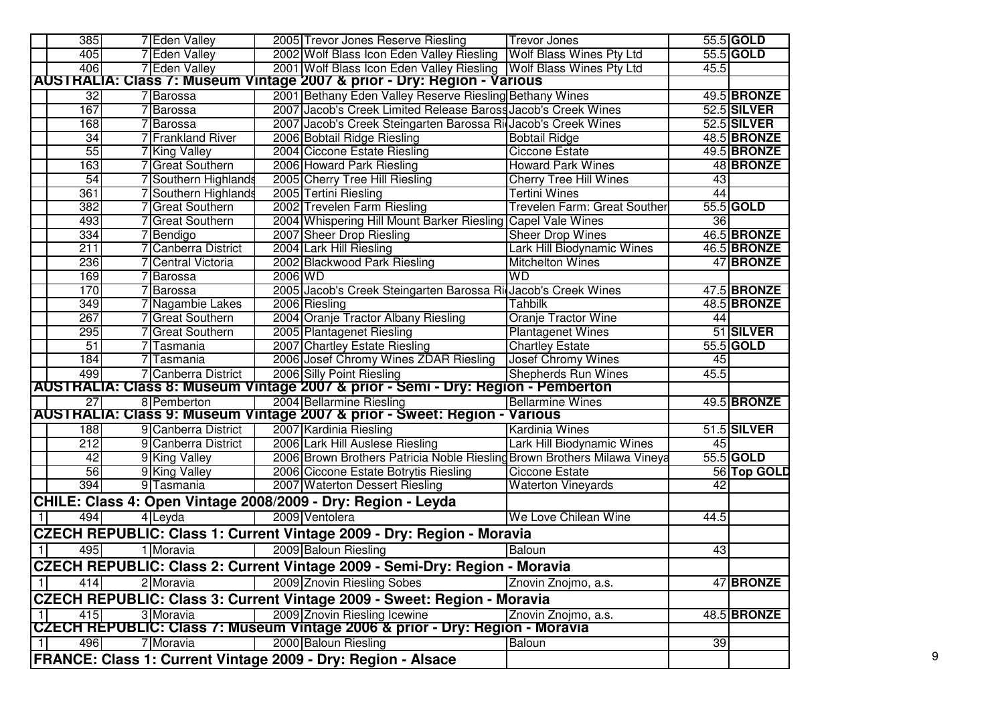|              | 385                   | 7 Eden Valley                                        |         | 2005 Trevor Jones Reserve Riesling                                                                                                              | <b>Trevor Jones</b>                                   |      | 55.5 GOLD                  |
|--------------|-----------------------|------------------------------------------------------|---------|-------------------------------------------------------------------------------------------------------------------------------------------------|-------------------------------------------------------|------|----------------------------|
|              | 405                   | 7 Eden Valley                                        |         | 2002 Wolf Blass Icon Eden Valley Riesling   Wolf Blass Wines Pty Ltd                                                                            |                                                       |      | 55.5 GOLD                  |
|              | 406                   | 7 Eden Valley                                        |         |                                                                                                                                                 |                                                       | 45.5 |                            |
|              |                       |                                                      |         | 2001 Wolf Blass Icon Eden Valley Riesling   Wolf Blass Wines Pty Ltd<br>AUSTRALIA: Class 7: Museum Vintage 2007 & prior - Dry: Region - Various |                                                       |      |                            |
|              |                       |                                                      |         |                                                                                                                                                 |                                                       |      |                            |
|              | 32<br>167             | 7 Barossa                                            |         | 2001 Bethany Eden Valley Reserve Riesling Bethany Wines<br>2007 Jacob's Creek Limited Release Baross Jacob's Creek Wines                        |                                                       |      | 49.5 BRONZE<br>52.5 SILVER |
|              |                       | Barossa                                              |         |                                                                                                                                                 |                                                       |      | 52.5 SILVER                |
|              | 168                   | Barossa<br><b>7</b> Frankland River                  |         | 2007 Jacob's Creek Steingarten Barossa Ri Jacob's Creek Wines                                                                                   |                                                       |      | 48.5 BRONZE                |
|              | $\overline{34}$<br>55 |                                                      |         | 2006 Bobtail Ridge Riesling<br>2004 Ciccone Estate Riesling                                                                                     | <b>Bobtail Ridge</b><br><b>Ciccone Estate</b>         |      | 49.5 BRONZE                |
|              | 163                   | 7 King Valley<br>7 Great Southern                    |         | 2006 Howard Park Riesling                                                                                                                       | <b>Howard Park Wines</b>                              |      | 48 BRONZE                  |
|              | 54                    | 7 Southern Highlands                                 |         |                                                                                                                                                 |                                                       | 43   |                            |
|              | 361                   | 'Southern Highlands                                  |         | 2005 Cherry Tree Hill Riesling<br>2005 Tertini Riesling                                                                                         | <b>Cherry Tree Hill Wines</b><br><b>Tertini Wines</b> | 44   |                            |
|              | 382                   | 7 Great Southern                                     |         | 2002 Trevelen Farm Riesling                                                                                                                     | Trevelen Farm: Great Souther                          |      | 55.5 GOLD                  |
|              | 493                   | 7 Great Southern                                     |         |                                                                                                                                                 |                                                       | 36   |                            |
|              | 334                   |                                                      |         | 2004 Whispering Hill Mount Barker Riesling Capel Vale Wines                                                                                     |                                                       |      | 46.5 BRONZE                |
|              | 211                   | Bendigo<br>Canberra District                         |         | 2007 Sheer Drop Riesling                                                                                                                        | <b>Sheer Drop Wines</b>                               |      |                            |
|              |                       |                                                      |         | 2004 Lark Hill Riesling                                                                                                                         | Lark Hill Biodynamic Wines                            |      | 46.5 BRONZE                |
|              | 236                   | <b>Central Victoria</b>                              | 2006 WD | 2002 Blackwood Park Riesling                                                                                                                    | <b>Mitchelton Wines</b><br><b>WD</b>                  |      | 47 BRONZE                  |
|              | 169<br>170            | <b>Barossa</b>                                       |         |                                                                                                                                                 |                                                       |      |                            |
|              | 349                   | <b>Barossa</b>                                       |         | 2005 Jacob's Creek Steingarten Barossa Ri Jacob's Creek Wines                                                                                   | <b>Tahbilk</b>                                        |      | 47.5 BRONZE                |
|              | 267                   | <sup>7</sup> Nagambie Lakes<br><b>Great Southern</b> |         | 2006 Riesling<br>2004 Oranje Tractor Albany Riesling                                                                                            |                                                       |      | 48.5 BRONZE                |
|              |                       |                                                      |         |                                                                                                                                                 | Oranje Tractor Wine                                   | 44   | 51 SILVER                  |
|              | 295                   | 7 Great Southern                                     |         | 2005 Plantagenet Riesling                                                                                                                       | <b>Plantagenet Wines</b>                              |      |                            |
|              | 51                    | 7 Tasmania                                           |         | 2007 Chartley Estate Riesling                                                                                                                   | <b>Chartley Estate</b>                                |      | 55.5 GOLD                  |
|              | 184                   | 7 Tasmania                                           |         | 2006 Josef Chromy Wines ZDAR Riesling                                                                                                           | <b>Josef Chromy Wines</b>                             | 45   |                            |
|              | 499                   | 7 Canberra District                                  |         | 2006 Silly Point Riesling                                                                                                                       | Shepherds Run Wines                                   | 45.5 |                            |
|              |                       |                                                      |         | AUSTRALIA: Class 8: Museum Vintage 2007 & prior - Semi - Dry: Region - Pemberton                                                                |                                                       |      |                            |
|              | $\overline{27}$       | 8 Pemberton                                          |         | 2004 Bellarmine Riesling                                                                                                                        | <b>Bellarmine Wines</b>                               |      | 49.5 BRONZE                |
|              |                       |                                                      |         | AUSTRALIA: Class 9: Museum Vintage 2007 & prior - Sweet: Region - Various                                                                       |                                                       |      |                            |
|              | 188                   | 9 Canberra District                                  |         | 2007 Kardinia Riesling                                                                                                                          | <b>Kardinia Wines</b>                                 |      | 51.5 SILVER                |
|              | 212                   | 9 Canberra District                                  |         | 2006 Lark Hill Auslese Riesling                                                                                                                 | Lark Hill Biodynamic Wines                            | 45   |                            |
|              | 42                    | 9 King Valley                                        |         | 2006 Brown Brothers Patricia Noble Riesling Brown Brothers Milawa Vineya                                                                        |                                                       |      | 55.5 GOLD                  |
|              | 56                    | 9 King Valley                                        |         | 2006 Ciccone Estate Botrytis Riesling                                                                                                           | <b>Ciccone Estate</b>                                 |      | 56 Top GOLD                |
|              | 394                   | 9 Tasmania                                           |         | 2007 Waterton Dessert Riesling                                                                                                                  | <b>Waterton Vineyards</b>                             | 42   |                            |
|              |                       |                                                      |         | CHILE: Class 4: Open Vintage 2008/2009 - Dry: Region - Leyda                                                                                    |                                                       |      |                            |
|              | 494                   | 4 Leyda                                              |         | 2009 Ventolera                                                                                                                                  | We Love Chilean Wine                                  | 44.5 |                            |
|              |                       |                                                      |         | <b>CZECH REPUBLIC: Class 1: Current Vintage 2009 - Dry: Region - Moravia</b>                                                                    |                                                       |      |                            |
|              | 495                   | 1 Moravia                                            |         | 2009 Baloun Riesling                                                                                                                            | Baloun                                                | 43   |                            |
|              |                       |                                                      |         | CZECH REPUBLIC: Class 2: Current Vintage 2009 - Semi-Dry: Region - Moravia                                                                      |                                                       |      |                            |
|              |                       |                                                      |         |                                                                                                                                                 |                                                       |      |                            |
| $\mathbf{1}$ | 414                   | 2 Moravia                                            |         | 2009 Znovin Riesling Sobes                                                                                                                      | Znovin Znojmo, a.s.                                   |      | 47 BRONZE                  |
|              |                       |                                                      |         | CZECH REPUBLIC: Class 3: Current Vintage 2009 - Sweet: Region - Moravia                                                                         |                                                       |      |                            |
| -1           | 415                   | 3 Moravia                                            |         | 2009 Znovin Riesling Icewine                                                                                                                    | Znovin Znojmo, a.s.                                   |      | 48.5 BRONZE                |
|              |                       |                                                      |         | CZECH REPUBLIC: Class 7: Museum Vintage 2006 & prior - Dry: Region - Moravia                                                                    |                                                       |      |                            |
| $\vert$      | 496                   | 7 Moravia                                            |         | 2000 Baloun Riesling                                                                                                                            | Baloun                                                | 39   |                            |
|              |                       |                                                      |         | FRANCE: Class 1: Current Vintage 2009 - Dry: Region - Alsace                                                                                    |                                                       |      |                            |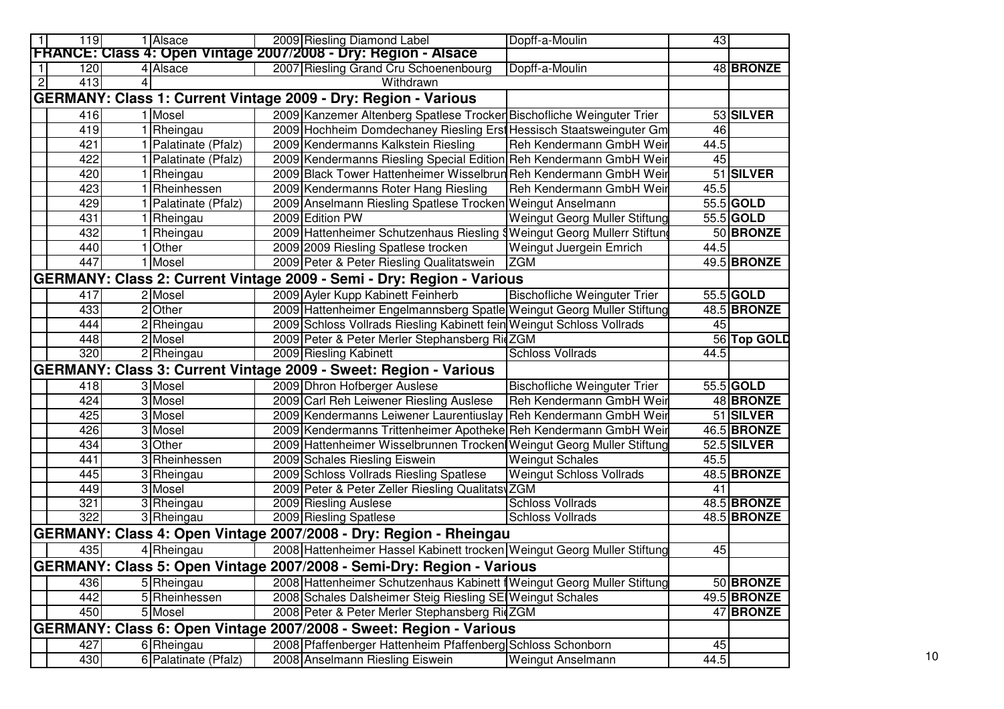| 119                   | 1 Alsace             | 2009 Riesling Diamond Label                                             | Dopff-a-Moulin                         | 43   |             |
|-----------------------|----------------------|-------------------------------------------------------------------------|----------------------------------------|------|-------------|
|                       |                      | FRANCE: Class 4: Open Vintage 2007/2008 - Dry: Region - Alsace          |                                        |      |             |
| 120                   | 4 Alsace             | 2007 Riesling Grand Cru Schoenenbourg                                   | Dopff-a-Moulin                         |      | 48 BRONZE   |
| $\overline{2}$<br>413 |                      | Withdrawn                                                               |                                        |      |             |
|                       |                      | GERMANY: Class 1: Current Vintage 2009 - Dry: Region - Various          |                                        |      |             |
| 416                   | 1 Mosel              | 2009 Kanzemer Altenberg Spatlese Trocker Bischofliche Weinguter Trier   |                                        |      | 53 SILVER   |
| 419                   | 1 Rheingau           | 2009 Hochheim Domdechaney Riesling Erst Hessisch Staatsweinguter Gm     |                                        | 46   |             |
| 421                   | 1 Palatinate (Pfalz) | 2009 Kendermanns Kalkstein Riesling                                     | Reh Kendermann GmbH Weir               | 44.5 |             |
| 422                   | 1 Palatinate (Pfalz) | 2009 Kendermanns Riesling Special Edition Reh Kendermann GmbH Weir      |                                        | 45   |             |
| 420                   | 1 Rheingau           | 2009 Black Tower Hattenheimer Wisselbrun Reh Kendermann GmbH Weir       |                                        |      | 51 SILVER   |
| 423                   | 1 Rheinhessen        | 2009 Kendermanns Roter Hang Riesling                                    | Reh Kendermann GmbH Weir               | 45.5 |             |
| 429                   | 1 Palatinate (Pfalz) | 2009 Anselmann Riesling Spatlese Trocken Weingut Anselmann              |                                        |      | 55.5 GOLD   |
| 431                   | 1 Rheingau           | 2009 Edition PW                                                         | Weingut Georg Muller Stiftung          |      | 55.5 GOLD   |
| 432                   | 1 Rheingau           | 2009 Hattenheimer Schutzenhaus Riesling                                 | <b>SWeingut Georg Mullerr Stiftung</b> |      | 50 BRONZE   |
| 440                   | 1 Other              | 2009 2009 Riesling Spatlese trocken                                     | Weingut Juergein Emrich                | 44.5 |             |
| 447                   | 1 Mosel              | 2009 Peter & Peter Riesling Qualitatswein                               | <b>ZGM</b>                             |      | 49.5 BRONZE |
|                       |                      | GERMANY: Class 2: Current Vintage 2009 - Semi - Dry: Region - Various   |                                        |      |             |
| 417                   | 2 Mosel              | 2009 Ayler Kupp Kabinett Feinherb                                       | <b>Bischofliche Weinguter Trier</b>    |      | 55.5 GOLD   |
| 433                   | 2 Other              | 2009 Hattenheimer Engelmannsberg Spatle Weingut Georg Muller Stiftung   |                                        |      | 48.5 BRONZE |
| 444                   | 2 Rheingau           | 2009 Schloss Vollrads Riesling Kabinett fein Weingut Schloss Vollrads   |                                        | 45   |             |
| 448                   | 2 Mosel              | 2009 Peter & Peter Merler Stephansberg RidZGM                           |                                        |      | 56 Top GOLD |
| 320                   | 2 Rheingau           | 2009 Riesling Kabinett                                                  | <b>Schloss Vollrads</b>                | 44.5 |             |
|                       |                      | GERMANY: Class 3: Current Vintage 2009 - Sweet: Region - Various        |                                        |      |             |
| 418                   | 3 Mosel              | 2009 Dhron Hofberger Auslese                                            | <b>Bischofliche Weinguter Trier</b>    |      | 55.5 GOLD   |
| 424                   | 3 Mosel              | 2009 Carl Reh Leiwener Riesling Auslese                                 | Reh Kendermann GmbH Weir               |      | 48 BRONZE   |
| 425                   | 3 Mosel              | 2009 Kendermanns Leiwener Laurentiuslay                                 | Reh Kendermann GmbH Weir               |      | 51 SILVER   |
| 426                   | 3 Mosel              | 2009 Kendermanns Trittenheimer Apotheke Reh Kendermann GmbH Weir        |                                        |      | 46.5 BRONZE |
| 434                   | 3 Other              | 2009 Hattenheimer Wisselbrunnen Trocken Weingut Georg Muller Stiftung   |                                        |      | 52.5 SILVER |
| 441                   | 3 Rheinhessen        | 2009 Schales Riesling Eiswein                                           | <b>Weingut Schales</b>                 | 45.5 |             |
| 445                   | 3 Rheingau           | 2009 Schloss Vollrads Riesling Spatlese                                 | Weingut Schloss Vollrads               |      | 48.5 BRONZE |
| 449                   | 3 Mosel              | 2009 Peter & Peter Zeller Riesling Qualitats ZGM                        |                                        | 41   |             |
| 321                   | 3 Rheingau           | 2009 Riesling Auslese                                                   | <b>Schloss Vollrads</b>                |      | 48.5 BRONZE |
| 322                   | 3 Rheingau           | 2009 Riesling Spatlese                                                  | <b>Schloss Vollrads</b>                |      | 48.5 BRONZE |
|                       |                      | GERMANY: Class 4: Open Vintage 2007/2008 - Dry: Region - Rheingau       |                                        |      |             |
| 435                   | 4 Rheingau           | 2008 Hattenheimer Hassel Kabinett trocken Weingut Georg Muller Stiftung |                                        | 45   |             |
|                       |                      | GERMANY: Class 5: Open Vintage 2007/2008 - Semi-Dry: Region - Various   |                                        |      |             |
| 436                   | 5 Rheingau           | 2008 Hattenheimer Schutzenhaus Kabinett   Weingut Georg Muller Stiftung |                                        |      | 50 BRONZE   |
| 442                   | 5 Rheinhessen        | 2008 Schales Dalsheimer Steig Riesling SE Weingut Schales               |                                        |      | 49.5 BRONZE |
| 450                   | 5 Mosel              | 2008 Peter & Peter Merler Stephansberg RicZGM                           |                                        |      | 47 BRONZE   |
|                       |                      |                                                                         |                                        |      |             |
|                       |                      | GERMANY: Class 6: Open Vintage 2007/2008 - Sweet: Region - Various      |                                        |      |             |
| 427                   | 6 Rheingau           | 2008 Pfaffenberger Hattenheim Pfaffenberg Schloss Schonborn             |                                        | 45   |             |
| 430                   | 6 Palatinate (Pfalz) | 2008 Anselmann Riesling Eiswein                                         | <b>Weingut Anselmann</b>               | 44.5 |             |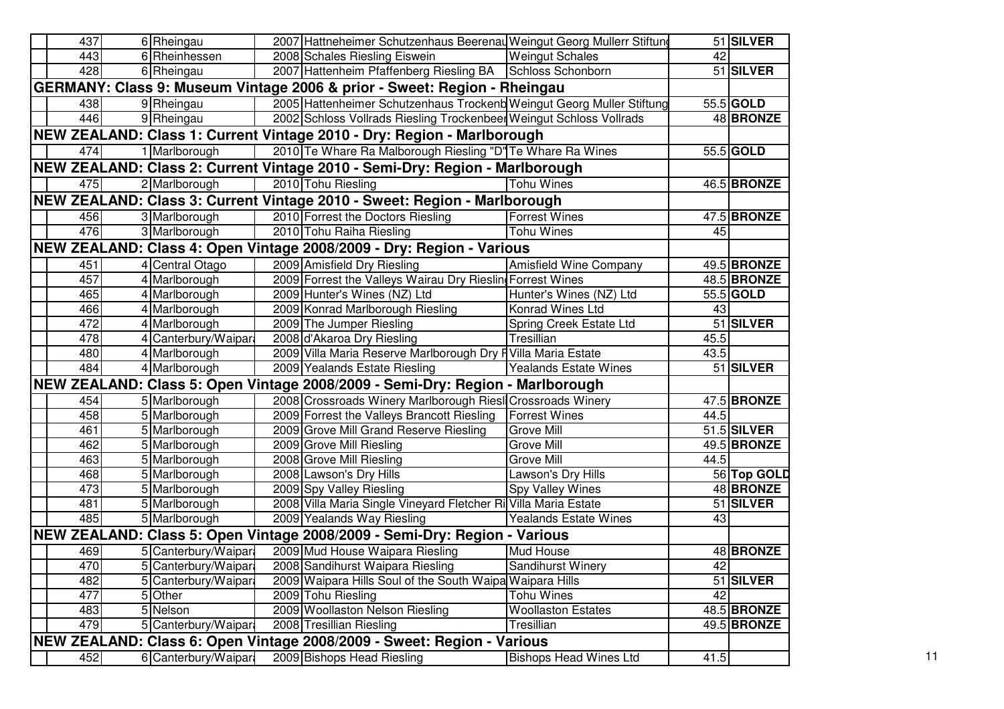|     | 437 | 6 Rheingau           | 2007 Hattneheimer Schutzenhaus Beerenau Weingut Georg Mullerr Stiftung        |                               |      | 51 SILVER   |
|-----|-----|----------------------|-------------------------------------------------------------------------------|-------------------------------|------|-------------|
|     | 443 | 6 Rheinhessen        | 2008 Schales Riesling Eiswein                                                 | <b>Weingut Schales</b>        | 42   |             |
|     | 428 | 6 Rheingau           | 2007 Hattenheim Pfaffenberg Riesling BA Schloss Schonborn                     |                               |      | 51 SILVER   |
|     |     |                      | GERMANY: Class 9: Museum Vintage 2006 & prior - Sweet: Region - Rheingau      |                               |      |             |
|     | 438 | 9 Rheingau           | 2005 Hattenheimer Schutzenhaus Trockenb Weingut Georg Muller Stiftung         |                               |      | 55.5 GOLD   |
|     | 446 | 9 Rheingau           | 2002 Schloss Vollrads Riesling Trockenbeer Weingut Schloss Vollrads           |                               |      | 48 BRONZE   |
|     |     |                      | NEW ZEALAND: Class 1: Current Vintage 2010 - Dry: Region - Marlborough        |                               |      |             |
|     | 474 | 1 Marlborough        | 2010 Te Whare Ra Malborough Riesling "D" Te Whare Ra Wines                    |                               |      | 55.5 GOLD   |
|     |     |                      | NEW ZEALAND: Class 2: Current Vintage 2010 - Semi-Dry: Region - Marlborough   |                               |      |             |
|     | 475 | 2 Marlborough        | 2010 Tohu Riesling                                                            | <b>Tohu Wines</b>             |      | 46.5 BRONZE |
|     |     |                      | NEW ZEALAND: Class 3: Current Vintage 2010 - Sweet: Region - Marlborough      |                               |      |             |
|     | 456 | 3 Marlborough        | 2010 Forrest the Doctors Riesling                                             | <b>Forrest Wines</b>          |      | 47.5 BRONZE |
|     | 476 | 3 Marlborough        | 2010 Tohu Raiha Riesling                                                      | <b>Tohu Wines</b>             | 45   |             |
|     |     |                      | NEW ZEALAND: Class 4: Open Vintage 2008/2009 - Dry: Region - Various          |                               |      |             |
| 451 |     | 4 Central Otago      | 2009 Amisfield Dry Riesling                                                   | <b>Amisfield Wine Company</b> |      | 49.5 BRONZE |
| 457 |     | 4 Marlborough        | 2009 Forrest the Valleys Wairau Dry Rieslin Forrest Wines                     |                               |      | 48.5 BRONZE |
|     | 465 | 4 Marlborough        | 2009 Hunter's Wines (NZ) Ltd                                                  | Hunter's Wines (NZ) Ltd       |      | 55.5 GOLD   |
|     | 466 | 4 Marlborough        | 2009 Konrad Marlborough Riesling                                              | Konrad Wines Ltd              | 43   |             |
| 472 |     | 4 Marlborough        | 2009 The Jumper Riesling                                                      | Spring Creek Estate Ltd       |      | 51 SILVER   |
|     | 478 | 4 Canterbury/Waipar  | 2008 d'Akaroa Dry Riesling                                                    | Tresillian                    | 45.5 |             |
|     | 480 | 4 Marlborough        | 2009 Villa Maria Reserve Marlborough Dry F Villa Maria Estate                 |                               | 43.5 |             |
| 484 |     | 4 Marlborough        | 2009 Yealands Estate Riesling                                                 | <b>Yealands Estate Wines</b>  |      | 51 SILVER   |
|     |     |                      | NEW ZEALAND: Class 5: Open Vintage 2008/2009 - Semi-Dry: Region - Marlborough |                               |      |             |
|     | 454 | 5 Marlborough        | 2008 Crossroads Winery Marlborough Riesl Crossroads Winery                    |                               |      | 47.5 BRONZE |
|     | 458 | 5 Marlborough        | 2009 Forrest the Valleys Brancott Riesling                                    | <b>Forrest Wines</b>          | 44.5 |             |
| 461 |     | 5 Marlborough        | 2009 Grove Mill Grand Reserve Riesling                                        | <b>Grove Mill</b>             |      | 51.5 SILVER |
|     | 462 | 5 Marlborough        | 2009 Grove Mill Riesling                                                      | <b>Grove Mill</b>             |      | 49.5 BRONZE |
| 463 |     | 5 Marlborough        | 2008 Grove Mill Riesling                                                      | Grove Mill                    | 44.5 |             |
|     | 468 | 5 Marlborough        | 2008 Lawson's Dry Hills                                                       | Lawson's Dry Hills            |      | 56 Top GOLD |
| 473 |     | 5 Marlborough        | 2009 Spy Valley Riesling                                                      | <b>Spy Valley Wines</b>       |      | 48 BRONZE   |
| 481 |     | 5 Marlborough        | 2008 Villa Maria Single Vineyard Fletcher Ri Villa Maria Estate               |                               |      | 51 SILVER   |
|     | 485 | 5 Marlborough        | 2009 Yealands Way Riesling                                                    | <b>Yealands Estate Wines</b>  | 43   |             |
|     |     |                      | NEW ZEALAND: Class 5: Open Vintage 2008/2009 - Semi-Dry: Region - Various     |                               |      |             |
|     | 469 | 5 Canterbury/Waipara | 2009 Mud House Waipara Riesling                                               | Mud House                     |      | 48 BRONZE   |
|     | 470 | 5 Canterbury/Waipar: | 2008 Sandihurst Waipara Riesling                                              | Sandihurst Winery             | 42   |             |
|     | 482 | 5 Canterbury/Waipara | 2009 Waipara Hills Soul of the South Waipa Waipara Hills                      |                               |      | 51 SILVER   |
| 477 |     | 5 Other              | 2009 Tohu Riesling                                                            | <b>Tohu Wines</b>             | 42   |             |
|     | 483 | 5 Nelson             | 2009 Woollaston Nelson Riesling                                               | <b>Woollaston Estates</b>     |      | 48.5 BRONZE |
|     | 479 | 5 Canterbury/Waipara | 2008 Tresillian Riesling                                                      | Tresillian                    |      | 49.5 BRONZE |
|     |     |                      | NEW ZEALAND: Class 6: Open Vintage 2008/2009 - Sweet: Region - Various        |                               |      |             |
|     | 452 | 6 Canterbury/Waipara | 2009 Bishops Head Riesling                                                    | <b>Bishops Head Wines Ltd</b> | 41.5 |             |
|     |     |                      |                                                                               |                               |      |             |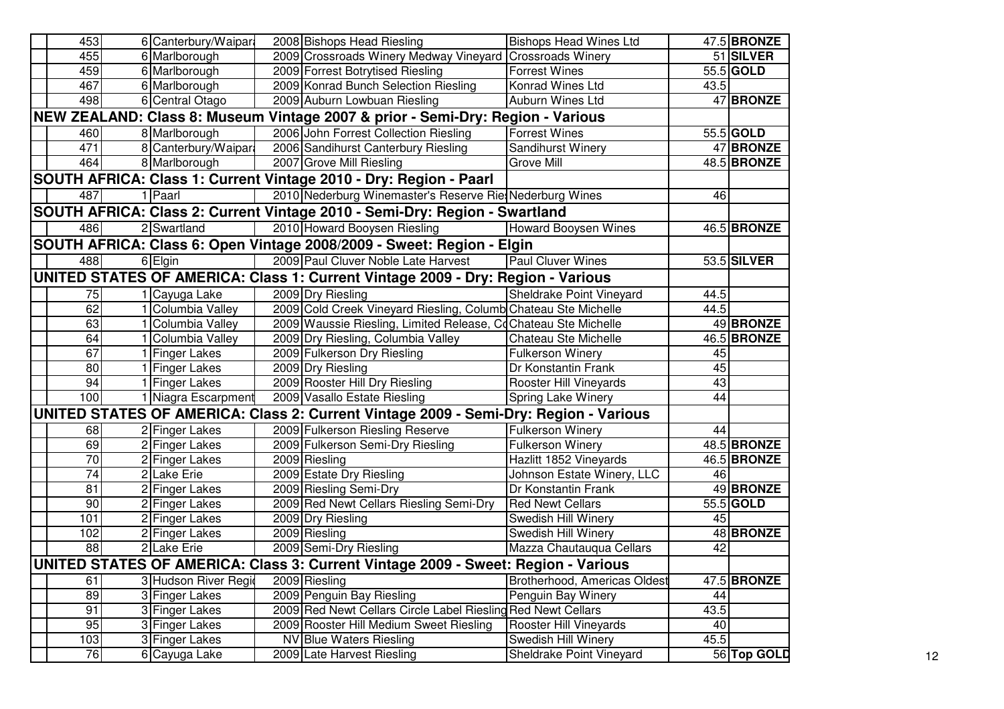| 453                                                                                       | 6 Canterbury/Waipara | 2008 Bishops Head Riesling                                                           | <b>Bishops Head Wines Ltd</b> |      | $47.5$ BRONZE |
|-------------------------------------------------------------------------------------------|----------------------|--------------------------------------------------------------------------------------|-------------------------------|------|---------------|
| 455                                                                                       | 6 Marlborough        | 2009 Crossroads Winery Medway Vineyard Crossroads Winery                             |                               |      | 51 SILVER     |
| 459                                                                                       | 6 Marlborough        | 2009 Forrest Botrytised Riesling                                                     | <b>Forrest Wines</b>          |      | 55.5 GOLD     |
| 467                                                                                       | 6 Marlborough        | 2009 Konrad Bunch Selection Riesling                                                 | Konrad Wines Ltd              | 43.5 |               |
| 498                                                                                       | 6 Central Otago      | 2009 Auburn Lowbuan Riesling                                                         | Auburn Wines Ltd              |      | 47 BRONZE     |
|                                                                                           |                      | NEW ZEALAND: Class 8: Museum Vintage 2007 & prior - Semi-Dry: Region - Various       |                               |      |               |
| 460                                                                                       | 8 Marlborough        | 2006 John Forrest Collection Riesling                                                | <b>Forrest Wines</b>          |      | 55.5 GOLD     |
| 471                                                                                       | 8 Canterbury/Waipara | 2006 Sandihurst Canterbury Riesling                                                  | Sandihurst Winery             |      | 47 BRONZE     |
| 464                                                                                       | 8 Marlborough        | 2007 Grove Mill Riesling                                                             | Grove Mill                    |      | 48.5 BRONZE   |
|                                                                                           |                      | SOUTH AFRICA: Class 1: Current Vintage 2010 - Dry: Region - Paarl                    |                               |      |               |
| 487                                                                                       | 1 Paarl              | 2010 Nederburg Winemaster's Reserve RiesNederburg Wines                              |                               | 46   |               |
|                                                                                           |                      | SOUTH AFRICA: Class 2: Current Vintage 2010 - Semi-Dry: Region - Swartland           |                               |      |               |
| 486                                                                                       | 2 Swartland          | 2010 Howard Booysen Riesling                                                         | <b>Howard Booysen Wines</b>   |      | 46.5 BRONZE   |
|                                                                                           |                      | SOUTH AFRICA: Class 6: Open Vintage 2008/2009 - Sweet: Region - Elgin                |                               |      |               |
| 488                                                                                       | 6 Elgin              | 2009 Paul Cluver Noble Late Harvest                                                  | <b>Paul Cluver Wines</b>      |      | 53.5 SILVER   |
|                                                                                           |                      | UNITED STATES OF AMERICA: Class 1: Current Vintage 2009 - Dry: Region - Various      |                               |      |               |
| 75                                                                                        | 1 Cayuga Lake        | 2009 Dry Riesling                                                                    | Sheldrake Point Vineyard      | 44.5 |               |
| 62                                                                                        | Columbia Valley      | 2009 Cold Creek Vineyard Riesling, Columb Chateau Ste Michelle                       |                               | 44.5 |               |
| 63                                                                                        | 1 Columbia Valley    | 2009 Waussie Riesling, Limited Release, CoChateau Ste Michelle                       |                               |      | 49 BRONZE     |
| 64                                                                                        | 1 Columbia Valley    | 2009 Dry Riesling, Columbia Valley                                                   | Chateau Ste Michelle          |      | 46.5 BRONZE   |
| 67                                                                                        | 1 Finger Lakes       | 2009 Fulkerson Dry Riesling                                                          | Fulkerson Winery              | 45   |               |
| 80                                                                                        | 1 Finger Lakes       | 2009 Dry Riesling                                                                    | Dr Konstantin Frank           | 45   |               |
| 94                                                                                        | 1 Finger Lakes       | 2009 Rooster Hill Dry Riesling                                                       | Rooster Hill Vineyards        | 43   |               |
| 100                                                                                       | 1 Niagra Escarpment  | 2009 Vasallo Estate Riesling                                                         | Spring Lake Winery            | 44   |               |
|                                                                                           |                      | UNITED STATES OF AMERICA: Class 2: Current Vintage 2009 - Semi-Dry: Region - Various |                               |      |               |
| 68                                                                                        | 2 Finger Lakes       | 2009 Fulkerson Riesling Reserve                                                      | <b>Fulkerson Winery</b>       | 44   |               |
| 69                                                                                        | 2 Finger Lakes       | 2009 Fulkerson Semi-Dry Riesling                                                     | <b>Fulkerson Winery</b>       |      | 48.5 BRONZE   |
| 70                                                                                        | 2 Finger Lakes       | 2009 Riesling                                                                        | Hazlitt 1852 Vineyards        |      | 46.5 BRONZE   |
| $\overline{74}$                                                                           | 2 Lake Erie          | 2009 Estate Dry Riesling                                                             | Johnson Estate Winery, LLC    | 46   |               |
| 81                                                                                        | 2 Finger Lakes       | 2009 Riesling Semi-Dry                                                               | Dr Konstantin Frank           |      | 49 BRONZE     |
| 90                                                                                        | 2 Finger Lakes       | 2009 Red Newt Cellars Riesling Semi-Dry                                              | <b>Red Newt Cellars</b>       |      | 55.5 GOLD     |
| 101                                                                                       | 2 Finger Lakes       | 2009 Dry Riesling                                                                    | Swedish Hill Winery           | 45   |               |
| 102                                                                                       | 2 Finger Lakes       | 2009 Riesling                                                                        | Swedish Hill Winery           |      | 48 BRONZE     |
| 88                                                                                        | 2 Lake Erie          | 2009 Semi-Dry Riesling                                                               | Mazza Chautauqua Cellars      | 42   |               |
|                                                                                           |                      | UNITED STATES OF AMERICA: Class 3: Current Vintage 2009 - Sweet: Region - Various    |                               |      |               |
| 61                                                                                        | 3 Hudson River Regio | 2009 Riesling                                                                        | Brotherhood, Americas Oldest  |      | 47.5 BRONZE   |
| 89                                                                                        | 3 Finger Lakes       | 2009 Penguin Bay Riesling                                                            | Penguin Bay Winery            | 44   |               |
| 91                                                                                        | 3 Finger Lakes       | 2009 Red Newt Cellars Circle Label Riesling Red Newt Cellars                         |                               | 43.5 |               |
| 95<br>3 Finger Lakes<br>2009 Rooster Hill Medium Sweet Riesling<br>Rooster Hill Vineyards |                      | 40                                                                                   |                               |      |               |
| 103                                                                                       | 3 Finger Lakes       | NV Blue Waters Riesling                                                              | Swedish Hill Winery           | 45.5 |               |
| 76                                                                                        | 6 Cayuga Lake        | 2009 Late Harvest Riesling                                                           | Sheldrake Point Vineyard      |      | 56 Top GOLD   |